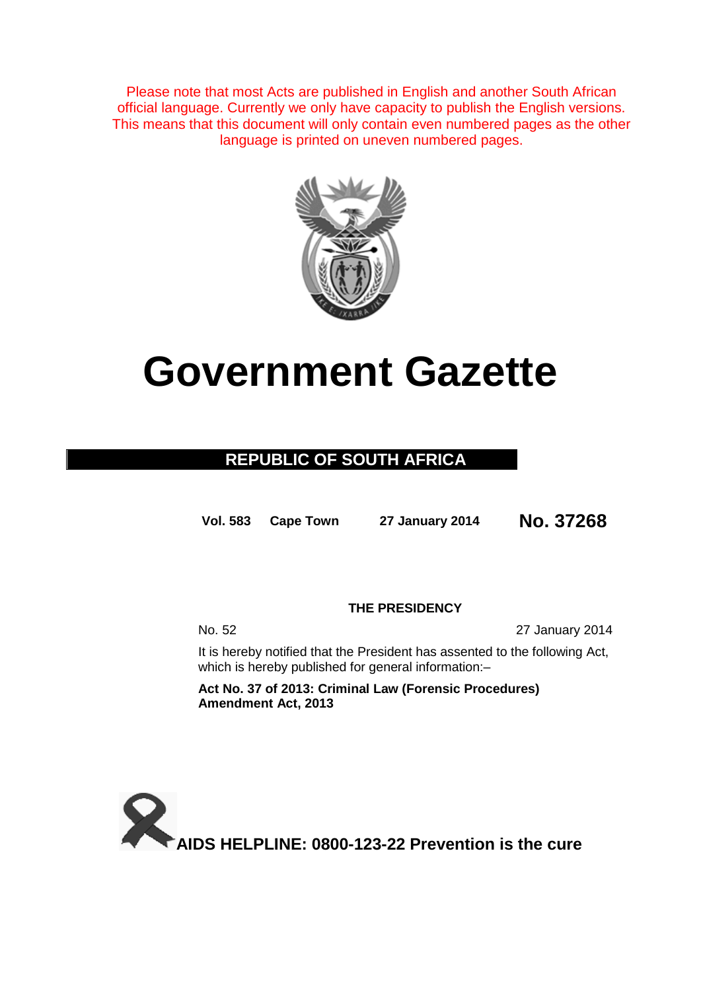Please note that most Acts are published in English and another South African official language. Currently we only have capacity to publish the English versions. This means that this document will only contain even numbered pages as the other language is printed on uneven numbered pages.



# **Government Gazette**

## **REPUBLIC OF SOUTH AFRICA**

**Vol. 583 Cape Town <sup>27</sup> January 2014 No. 37268**

### **THE PRESIDENCY**

No. 52 27 January 2014

It is hereby notified that the President has assented to the following Act, which is hereby published for general information:-

**Act No. 37 of 2013: Criminal Law (Forensic Procedures) Amendment Act, 2013**

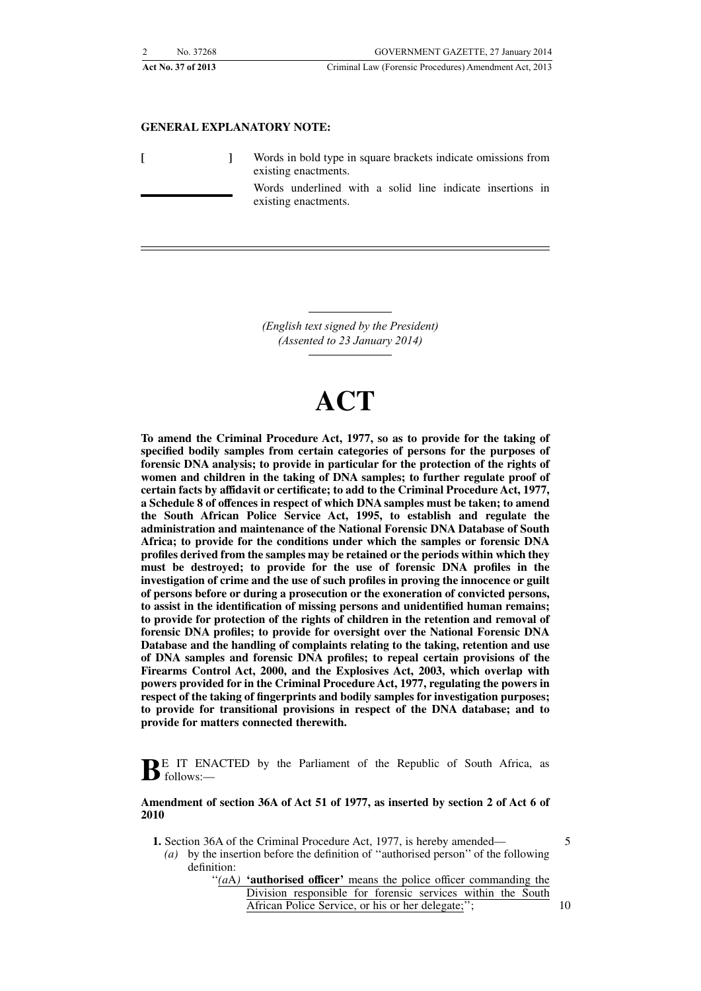| No. 37268          | GOVERNMENT GAZETTE, 27 January 2014                    |
|--------------------|--------------------------------------------------------|
| Act No. 37 of 2013 | Criminal Law (Forensic Procedures) Amendment Act, 2013 |

#### **GENERAL EXPLANATORY NOTE:**

**[ ]** Words in bold type in square brackets indicate omissions from existing enactments.

> Words underlined with a solid line indicate insertions in existing enactments.

*(English text signed by the President) (Assented to 23 January 2014)*

# **ACT**

**To amend the Criminal Procedure Act, 1977, so as to provide for the taking of specified bodily samples from certain categories of persons for the purposes of forensic DNA analysis; to provide in particular for the protection of the rights of women and children in the taking of DNA samples; to further regulate proof of certain facts by affidavit or certificate; to add to the Criminal Procedure Act, 1977, a Schedule 8 of offences in respect of which DNA samples must be taken; to amend the South African Police Service Act, 1995, to establish and regulate the administration and maintenance of the National Forensic DNA Database of South Africa; to provide for the conditions under which the samples or forensic DNA profiles derived from the samples may be retained or the periods within which they must be destroyed; to provide for the use of forensic DNA profiles in the investigation of crime and the use of such profiles in proving the innocence or guilt of persons before or during a prosecution or the exoneration of convicted persons, to assist in the identification of missing persons and unidentified human remains; to provide for protection of the rights of children in the retention and removal of forensic DNA profiles; to provide for oversight over the National Forensic DNA Database and the handling of complaints relating to the taking, retention and use of DNA samples and forensic DNA profiles; to repeal certain provisions of the Firearms Control Act, 2000, and the Explosives Act, 2003, which overlap with powers provided for in the Criminal Procedure Act, 1977, regulating the powers in respect of the taking of fingerprints and bodily samples for investigation purposes; to provide for transitional provisions in respect of the DNA database; and to provide for matters connected therewith.**

**B**E IT ENACTED by the Parliament of the Republic of South Africa, as follows:—

#### **Amendment of section 36A of Act 51 of 1977, as inserted by section 2 of Act 6 of 2010**

- **1.** Section 36A of the Criminal Procedure Act, 1977, is hereby amended—
	- *(a)* by the insertion before the definition of ''authorised person'' of the following definition:
		- "(*a*A) 'authorised officer' means the police officer commanding the Division responsible for forensic services within the South African Police Service, or his or her delegate;'';

5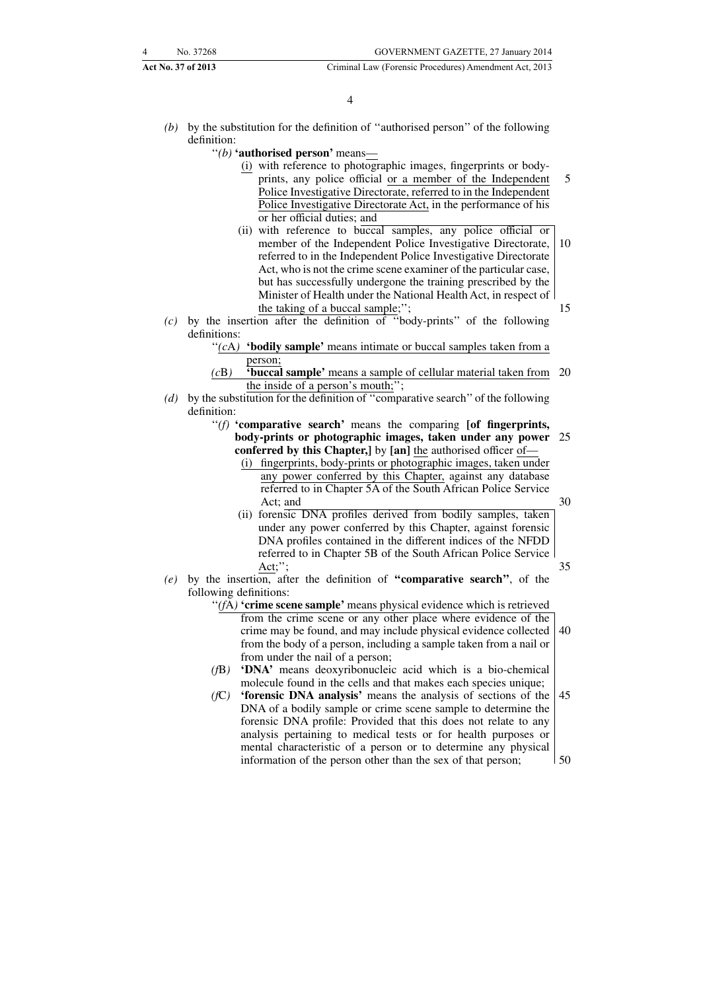- *(b)* by the substitution for the definition of ''authorised person'' of the following definition:
	- ''*(b)* **'authorised person'** means—
		- (i) with reference to photographic images, fingerprints or bodyprints, any police official or a member of the Independent Police Investigative Directorate, referred to in the Independent Police Investigative Directorate Act, in the performance of his or her official duties; and 5
		- (ii) with reference to buccal samples, any police official or member of the Independent Police Investigative Directorate, referred to in the Independent Police Investigative Directorate Act, who is not the crime scene examiner of the particular case, but has successfully undergone the training prescribed by the Minister of Health under the National Health Act, in respect of the taking of a buccal sample;''; 10 15
- *(c)* by the insertion after the definition of ''body-prints'' of the following definitions:
	- ''*(c*A*)* **'bodily sample'** means intimate or buccal samples taken from a person;
	- *(c*B*)* **'buccal sample'** means a sample of cellular material taken from 20 the inside of a person's mouth;'';
- *(d)* by the substitution for the definition of ''comparative search'' of the following definition:
	- ''*(f)* **'comparative search'** means the comparing **[of fingerprints, body-prints or photographic images, taken under any power** 25 **conferred by this Chapter,]** by **[an]** the authorised officer of—
		- (i) fingerprints, body-prints or photographic images, taken under any power conferred by this Chapter, against any database referred to in Chapter 5A of the South African Police Service Act; and

- (ii) forensic DNA profiles derived from bodily samples, taken under any power conferred by this Chapter, against forensic DNA profiles contained in the different indices of the NFDD referred to in Chapter 5B of the South African Police Service Act;";
- *(e)* by the insertion, after the definition of **''comparative search''**, of the following definitions:
	- '(fA) 'crime scene sample' means physical evidence which is retrieved
		- from the crime scene or any other place where evidence of the crime may be found, and may include physical evidence collected from the body of a person, including a sample taken from a nail or from under the nail of a person; 40
	- *(f*B*)* **'DNA'** means deoxyribonucleic acid which is a bio-chemical molecule found in the cells and that makes each species unique;
	- *(f*C*)* **'forensic DNA analysis'** means the analysis of sections of the DNA of a bodily sample or crime scene sample to determine the forensic DNA profile: Provided that this does not relate to any analysis pertaining to medical tests or for health purposes or mental characteristic of a person or to determine any physical information of the person other than the sex of that person; 45 50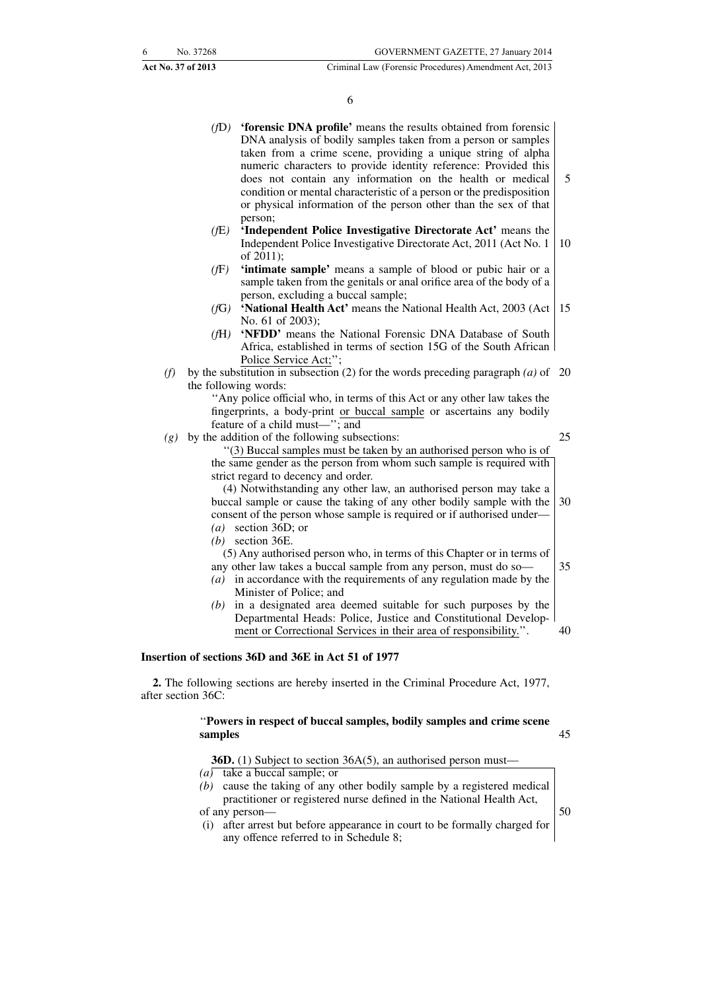6

*(f*D*)* **'forensic DNA profile'** means the results obtained from forensic DNA analysis of bodily samples taken from a person or samples taken from a crime scene, providing a unique string of alpha numeric characters to provide identity reference: Provided this does not contain any information on the health or medical condition or mental characteristic of a person or the predisposition or physical information of the person other than the sex of that person; *(f*E*)* **'Independent Police Investigative Directorate Act'** means the Independent Police Investigative Directorate Act, 2011 (Act No. 1 of 2011); *(f*F*)* **'intimate sample'** means a sample of blood or pubic hair or a sample taken from the genitals or anal orifice area of the body of a person, excluding a buccal sample; *(f*G*)* **'National Health Act'** means the National Health Act, 2003 (Act No. 61 of 2003); *(f*H*)* **'NFDD'** means the National Forensic DNA Database of South Africa, established in terms of section 15G of the South African Police Service Act;''; (f) by the substitution in subsection (2) for the words preceding paragraph  $(a)$  of 20 the following words: ''Any police official who, in terms of this Act or any other law takes the fingerprints, a body-print or buccal sample or ascertains any bodily feature of a child must—''; and *(g)* by the addition of the following subsections: ''(3) Buccal samples must be taken by an authorised person who is of the same gender as the person from whom such sample is required with strict regard to decency and order. (4) Notwithstanding any other law, an authorised person may take a buccal sample or cause the taking of any other bodily sample with the consent of the person whose sample is required or if authorised under— *(a)* section 36D; or *(b)* section 36E. (5) Any authorised person who, in terms of this Chapter or in terms of any other law takes a buccal sample from any person, must do so— *(a)* in accordance with the requirements of any regulation made by the Minister of Police; and *(b)* in a designated area deemed suitable for such purposes by the Departmental Heads: Police, Justice and Constitutional Development or Correctional Services in their area of responsibility.''. **Insertion of sections 36D and 36E in Act 51 of 1977** 5 10 15 25 30 35 40

**2.** The following sections are hereby inserted in the Criminal Procedure Act, 1977, after section 36C:

#### ''**Powers in respect of buccal samples, bodily samples and crime scene samples**

45

**36D.** (1) Subject to section 36A(5), an authorised person must—

- *(a)* take a buccal sample; or
- *(b)* cause the taking of any other bodily sample by a registered medical practitioner or registered nurse defined in the National Health Act, of any person—
- (i) after arrest but before appearance in court to be formally charged for any offence referred to in Schedule 8;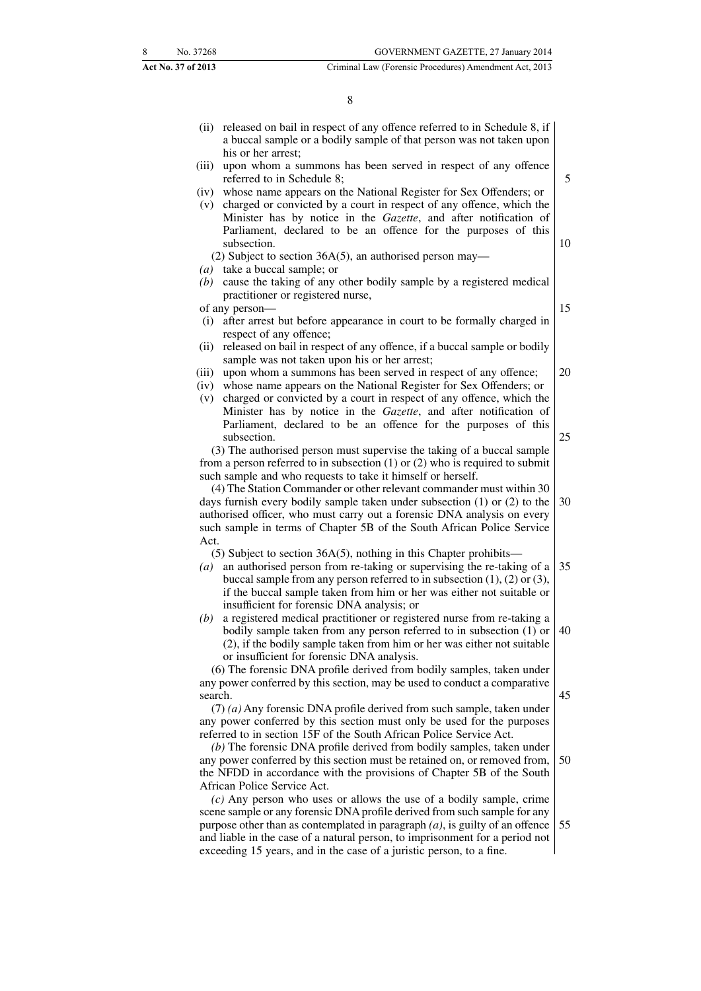|         | (ii) released on bail in respect of any offence referred to in Schedule 8, if<br>a buccal sample or a bodily sample of that person was not taken upon |    |
|---------|-------------------------------------------------------------------------------------------------------------------------------------------------------|----|
| (iii)   | his or her arrest;<br>upon whom a summons has been served in respect of any offence<br>referred to in Schedule 8;                                     | 5  |
|         | (iv) whose name appears on the National Register for Sex Offenders; or                                                                                |    |
|         | (v) charged or convicted by a court in respect of any offence, which the                                                                              |    |
|         | Minister has by notice in the Gazette, and after notification of                                                                                      |    |
|         | Parliament, declared to be an offence for the purposes of this                                                                                        |    |
|         | subsection.                                                                                                                                           | 10 |
|         | (2) Subject to section $36A(5)$ , an authorised person may—                                                                                           |    |
|         | $(a)$ take a buccal sample; or                                                                                                                        |    |
|         | $(b)$ cause the taking of any other bodily sample by a registered medical                                                                             |    |
|         | practitioner or registered nurse,                                                                                                                     |    |
|         | of any person-                                                                                                                                        | 15 |
| (i)     | after arrest but before appearance in court to be formally charged in<br>respect of any offence;                                                      |    |
| (ii)    | released on bail in respect of any offence, if a buccal sample or bodily                                                                              |    |
|         | sample was not taken upon his or her arrest;                                                                                                          |    |
| (iii)   | upon whom a summons has been served in respect of any offence;                                                                                        | 20 |
| (iv)    | whose name appears on the National Register for Sex Offenders; or                                                                                     |    |
| (v)     | charged or convicted by a court in respect of any offence, which the                                                                                  |    |
|         | Minister has by notice in the Gazette, and after notification of                                                                                      |    |
|         | Parliament, declared to be an offence for the purposes of this                                                                                        |    |
|         | subsection.                                                                                                                                           | 25 |
|         | (3) The authorised person must supervise the taking of a buccal sample                                                                                |    |
|         | from a person referred to in subsection $(1)$ or $(2)$ who is required to submit                                                                      |    |
|         | such sample and who requests to take it himself or herself.                                                                                           |    |
|         | (4) The Station Commander or other relevant commander must within 30<br>days furnish every bodily sample taken under subsection $(1)$ or $(2)$ to the | 30 |
|         | authorised officer, who must carry out a forensic DNA analysis on every                                                                               |    |
|         | such sample in terms of Chapter 5B of the South African Police Service                                                                                |    |
| Act.    |                                                                                                                                                       |    |
|         | $(5)$ Subject to section 36A $(5)$ , nothing in this Chapter prohibits—                                                                               |    |
|         | $(a)$ an authorised person from re-taking or supervising the re-taking of a                                                                           | 35 |
|         | buccal sample from any person referred to in subsection $(1)$ , $(2)$ or $(3)$ ,                                                                      |    |
|         | if the buccal sample taken from him or her was either not suitable or                                                                                 |    |
|         | insufficient for forensic DNA analysis; or                                                                                                            |    |
| (b)     | a registered medical practitioner or registered nurse from re-taking a                                                                                |    |
|         | bodily sample taken from any person referred to in subsection (1) or                                                                                  | 40 |
|         | (2), if the bodily sample taken from him or her was either not suitable                                                                               |    |
|         | or insufficient for forensic DNA analysis.                                                                                                            |    |
|         | (6) The forensic DNA profile derived from bodily samples, taken under                                                                                 |    |
|         | any power conferred by this section, may be used to conduct a comparative                                                                             |    |
| search. |                                                                                                                                                       | 45 |
|         | $(7)$ (a) Any forensic DNA profile derived from such sample, taken under                                                                              |    |
|         | any power conferred by this section must only be used for the purposes                                                                                |    |
|         | referred to in section 15F of the South African Police Service Act.                                                                                   |    |
|         | $(b)$ The forensic DNA profile derived from bodily samples, taken under<br>any power conferred by this section must be retained on, or removed from,  | 50 |
|         | the NFDD in accordance with the provisions of Chapter 5B of the South                                                                                 |    |
|         | African Police Service Act.                                                                                                                           |    |
|         | $(c)$ Any person who uses or allows the use of a bodily sample, crime                                                                                 |    |
|         | scene sample or any forensic DNA profile derived from such sample for any                                                                             |    |
|         | purpose other than as contemplated in paragraph $(a)$ , is guilty of an offence                                                                       | 55 |
|         | and liable in the case of a natural person, to imprisonment for a period not                                                                          |    |
|         | exceeding 15 years, and in the case of a juristic person, to a fine.                                                                                  |    |
|         |                                                                                                                                                       |    |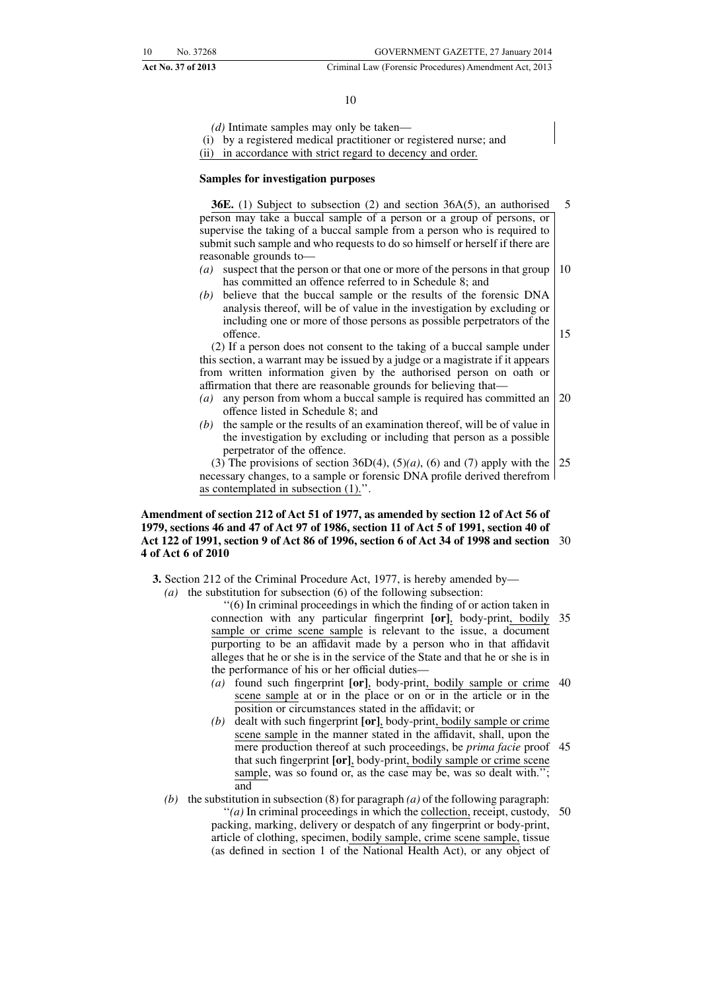#### **Act No. 37 of 2013** Criminal Law (Forensic Procedures) Amendment Act, 2013

#### 10

*(d)* Intimate samples may only be taken—

(i) by a registered medical practitioner or registered nurse; and

(ii) in accordance with strict regard to decency and order.

#### **Samples for investigation purposes**

**36E.** (1) Subject to subsection (2) and section 36A(5), an authorised person may take a buccal sample of a person or a group of persons, or supervise the taking of a buccal sample from a person who is required to submit such sample and who requests to do so himself or herself if there are reasonable grounds to— 5

- *(a)* suspect that the person or that one or more of the persons in that group has committed an offence referred to in Schedule 8; and 10
- *(b)* believe that the buccal sample or the results of the forensic DNA analysis thereof, will be of value in the investigation by excluding or including one or more of those persons as possible perpetrators of the offence.

(2) If a person does not consent to the taking of a buccal sample under this section, a warrant may be issued by a judge or a magistrate if it appears from written information given by the authorised person on oath or affirmation that there are reasonable grounds for believing that—

- *(a)* any person from whom a buccal sample is required has committed an offence listed in Schedule 8; and 20
- *(b)* the sample or the results of an examination thereof, will be of value in the investigation by excluding or including that person as a possible perpetrator of the offence.

(3) The provisions of section  $36D(4)$ ,  $(5)(a)$ ,  $(6)$  and  $(7)$  apply with the necessary changes, to a sample or forensic DNA profile derived therefrom as contemplated in subsection (1).''. 25

#### **Amendment of section 212 of Act 51 of 1977, as amended by section 12 of Act 56 of 1979, sections 46 and 47 of Act 97 of 1986, section 11 of Act 5 of 1991, section 40 of Act 122 of 1991, section 9 of Act 86 of 1996, section 6 of Act 34 of 1998 and section** 30 **4 of Act 6 of 2010**

**3.** Section 212 of the Criminal Procedure Act, 1977, is hereby amended by— *(a)* the substitution for subsection (6) of the following subsection:

''(6) In criminal proceedings in which the finding of or action taken in connection with any particular fingerprint **[or]**, body-print, bodily sample or crime scene sample is relevant to the issue, a document purporting to be an affidavit made by a person who in that affidavit alleges that he or she is in the service of the State and that he or she is in the performance of his or her official duties— 35

- *(a)* found such fingerprint **[or]**, body-print, bodily sample or crime 40 scene sample at or in the place or on or in the article or in the position or circumstances stated in the affidavit; or
- *(b)* dealt with such fingerprint **[or]**, body-print, bodily sample or crime scene sample in the manner stated in the affidavit, shall, upon the mere production thereof at such proceedings, be *prima facie* proof 45 that such fingerprint **[or]**, body-print, bodily sample or crime scene sample, was so found or, as the case may be, was so dealt with."; and
- *(b)* the substitution in subsection (8) for paragraph *(a)* of the following paragraph: "(*a*) In criminal proceedings in which the collection, receipt, custody, 50 packing, marking, delivery or despatch of any fingerprint or body-print, article of clothing, specimen, bodily sample, crime scene sample, tissue (as defined in section 1 of the National Health Act), or any object of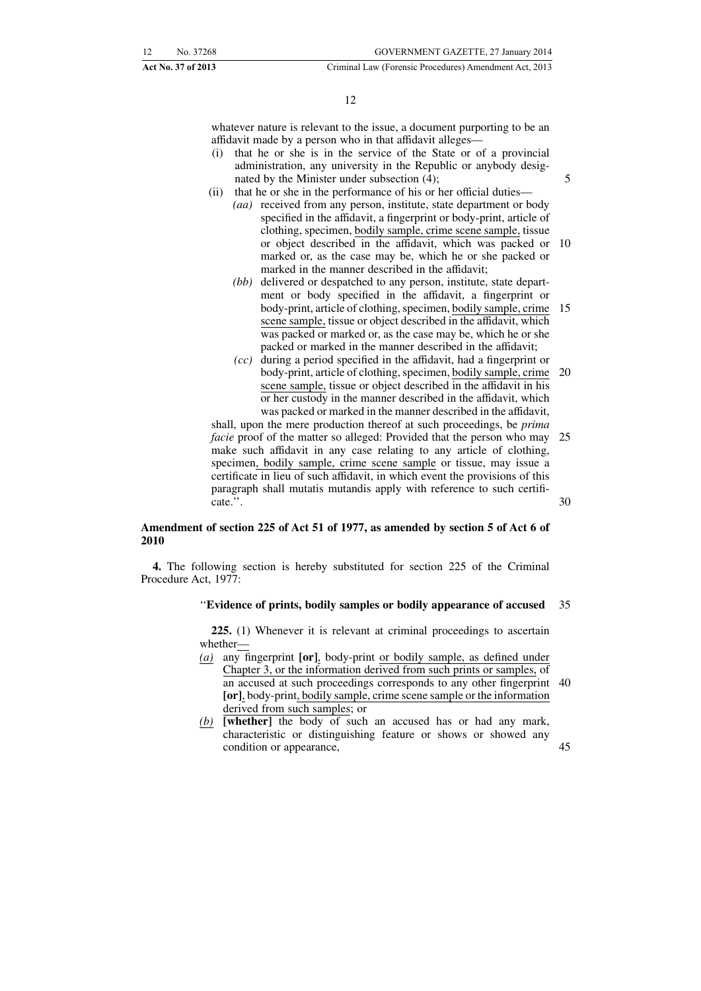whatever nature is relevant to the issue, a document purporting to be an affidavit made by a person who in that affidavit alleges—

- (i) that he or she is in the service of the State or of a provincial administration, any university in the Republic or anybody designated by the Minister under subsection (4);
- (ii) that he or she in the performance of his or her official duties—
	- *(aa)* received from any person, institute, state department or body specified in the affidavit, a fingerprint or body-print, article of clothing, specimen, bodily sample, crime scene sample, tissue or object described in the affidavit, which was packed or marked or, as the case may be, which he or she packed or marked in the manner described in the affidavit; 10
	- *(bb)* delivered or despatched to any person, institute, state department or body specified in the affidavit, a fingerprint or body-print, article of clothing, specimen, bodily sample, crime scene sample, tissue or object described in the affidavit, which was packed or marked or, as the case may be, which he or she packed or marked in the manner described in the affidavit; 15
	- *(cc)* during a period specified in the affidavit, had a fingerprint or body-print, article of clothing, specimen, bodily sample, crime scene sample, tissue or object described in the affidavit in his or her custody in the manner described in the affidavit, which was packed or marked in the manner described in the affidavit, 20

shall, upon the mere production thereof at such proceedings, be *prima facie* proof of the matter so alleged: Provided that the person who may make such affidavit in any case relating to any article of clothing, specimen, bodily sample, crime scene sample or tissue, may issue a certificate in lieu of such affidavit, in which event the provisions of this paragraph shall mutatis mutandis apply with reference to such certificate.''. 25 30

#### **Amendment of section 225 of Act 51 of 1977, as amended by section 5 of Act 6 of 2010**

**4.** The following section is hereby substituted for section 225 of the Criminal Procedure Act, 1977:

#### ''**Evidence of prints, bodily samples or bodily appearance of accused** 35

**225.** (1) Whenever it is relevant at criminal proceedings to ascertain whether—

- *(a)* any fingerprint **[or]**, body-print or bodily sample, as defined under Chapter 3, or the information derived from such prints or samples, of an accused at such proceedings corresponds to any other fingerprint 40 **[or]**, body-print, bodily sample, crime scene sample or the information derived from such samples; or
- *(b)* **[whether]** the body of such an accused has or had any mark, characteristic or distinguishing feature or shows or showed any condition or appearance,

45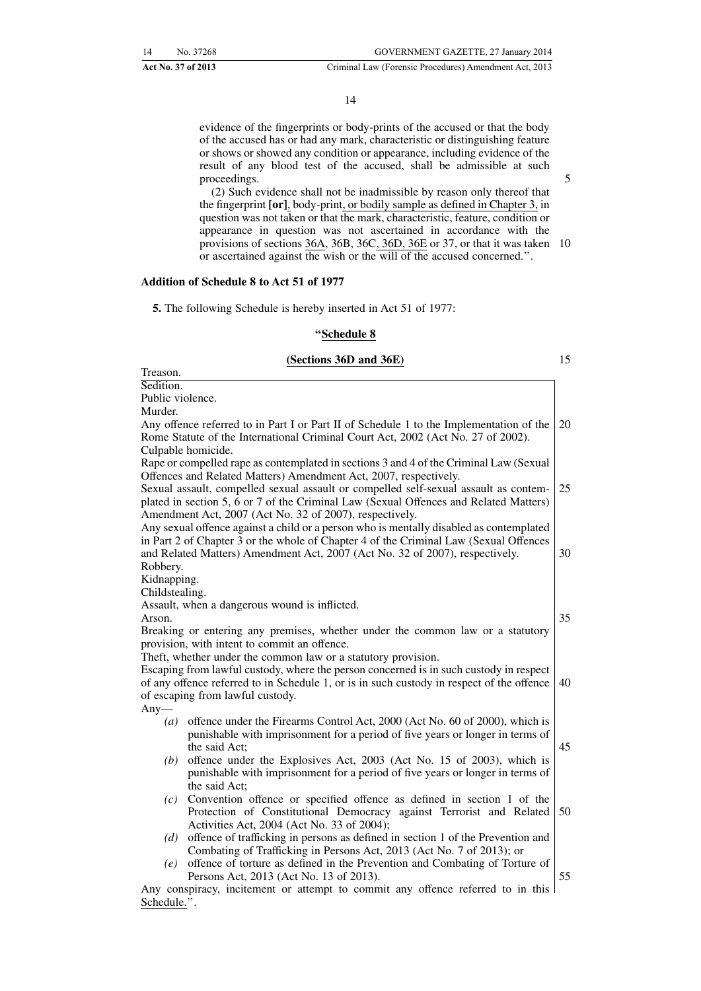#### 14

evidence of the fingerprints or body-prints of the accused or that the body of the accused has or had any mark, characteristic or distinguishing feature or shows or showed any condition or appearance, including evidence of the result of any blood test of the accused, shall be admissible at such proceedings.

(2) Such evidence shall not be inadmissible by reason only thereof that the fingerprint **[or]**, body-print, or bodily sample as defined in Chapter 3, in question was not taken or that the mark, characteristic, feature, condition or appearance in question was not ascertained in accordance with the provisions of sections 36A, 36B, 36C, 36D, 36E or 37, or that it was taken 10 or ascertained against the wish or the will of the accused concerned.''.

#### **Addition of Schedule 8 to Act 51 of 1977**

**5.** The following Schedule is hereby inserted in Act 51 of 1977:

#### **''Schedule 8**

#### **(Sections 36D and 36E)**

15

5

| Sedition.<br>Public violence.<br>Murder.<br>Any offence referred to in Part I or Part II of Schedule 1 to the Implementation of the<br>Rome Statute of the International Criminal Court Act, 2002 (Act No. 27 of 2002).<br>Culpable homicide.<br>Rape or compelled rape as contemplated in sections 3 and 4 of the Criminal Law (Sexual<br>Offences and Related Matters) Amendment Act, 2007, respectively.<br>Sexual assault, compelled sexual assault or compelled self-sexual assault as contem-<br>plated in section 5, 6 or 7 of the Criminal Law (Sexual Offences and Related Matters)<br>Amendment Act, 2007 (Act No. 32 of 2007), respectively.<br>Any sexual offence against a child or a person who is mentally disabled as contemplated<br>in Part 2 of Chapter 3 or the whole of Chapter 4 of the Criminal Law (Sexual Offences<br>and Related Matters) Amendment Act, 2007 (Act No. 32 of 2007), respectively.<br>Robbery.<br>Kidnapping.<br>Childstealing.<br>Assault, when a dangerous wound is inflicted.<br>Arson.<br>Breaking or entering any premises, whether under the common law or a statutory<br>provision, with intent to commit an offence.<br>Theft, whether under the common law or a statutory provision.<br>Escaping from lawful custody, where the person concerned is in such custody in respect<br>of any offence referred to in Schedule 1, or is in such custody in respect of the offence<br>of escaping from lawful custody.<br>Any $-$<br>offence under the Firearms Control Act, 2000 (Act No. 60 of 2000), which is<br>(a)<br>punishable with imprisonment for a period of five years or longer in terms of<br>the said Act;<br>offence under the Explosives Act, 2003 (Act No. 15 of 2003), which is<br>(b)<br>punishable with imprisonment for a period of five years or longer in terms of<br>the said Act;<br>Convention offence or specified offence as defined in section 1 of the<br>(c)<br>Protection of Constitutional Democracy against Terrorist and Related<br>Activities Act, 2004 (Act No. 33 of 2004); | Treason. |                                                                                 |  |
|---------------------------------------------------------------------------------------------------------------------------------------------------------------------------------------------------------------------------------------------------------------------------------------------------------------------------------------------------------------------------------------------------------------------------------------------------------------------------------------------------------------------------------------------------------------------------------------------------------------------------------------------------------------------------------------------------------------------------------------------------------------------------------------------------------------------------------------------------------------------------------------------------------------------------------------------------------------------------------------------------------------------------------------------------------------------------------------------------------------------------------------------------------------------------------------------------------------------------------------------------------------------------------------------------------------------------------------------------------------------------------------------------------------------------------------------------------------------------------------------------------------------------------------------------------------------------------------------------------------------------------------------------------------------------------------------------------------------------------------------------------------------------------------------------------------------------------------------------------------------------------------------------------------------------------------------------------------------------------------------------------------------------------------------------------------|----------|---------------------------------------------------------------------------------|--|
| 20<br>25                                                                                                                                                                                                                                                                                                                                                                                                                                                                                                                                                                                                                                                                                                                                                                                                                                                                                                                                                                                                                                                                                                                                                                                                                                                                                                                                                                                                                                                                                                                                                                                                                                                                                                                                                                                                                                                                                                                                                                                                                                                      |          |                                                                                 |  |
|                                                                                                                                                                                                                                                                                                                                                                                                                                                                                                                                                                                                                                                                                                                                                                                                                                                                                                                                                                                                                                                                                                                                                                                                                                                                                                                                                                                                                                                                                                                                                                                                                                                                                                                                                                                                                                                                                                                                                                                                                                                               |          |                                                                                 |  |
|                                                                                                                                                                                                                                                                                                                                                                                                                                                                                                                                                                                                                                                                                                                                                                                                                                                                                                                                                                                                                                                                                                                                                                                                                                                                                                                                                                                                                                                                                                                                                                                                                                                                                                                                                                                                                                                                                                                                                                                                                                                               |          |                                                                                 |  |
|                                                                                                                                                                                                                                                                                                                                                                                                                                                                                                                                                                                                                                                                                                                                                                                                                                                                                                                                                                                                                                                                                                                                                                                                                                                                                                                                                                                                                                                                                                                                                                                                                                                                                                                                                                                                                                                                                                                                                                                                                                                               |          |                                                                                 |  |
|                                                                                                                                                                                                                                                                                                                                                                                                                                                                                                                                                                                                                                                                                                                                                                                                                                                                                                                                                                                                                                                                                                                                                                                                                                                                                                                                                                                                                                                                                                                                                                                                                                                                                                                                                                                                                                                                                                                                                                                                                                                               |          |                                                                                 |  |
|                                                                                                                                                                                                                                                                                                                                                                                                                                                                                                                                                                                                                                                                                                                                                                                                                                                                                                                                                                                                                                                                                                                                                                                                                                                                                                                                                                                                                                                                                                                                                                                                                                                                                                                                                                                                                                                                                                                                                                                                                                                               |          |                                                                                 |  |
|                                                                                                                                                                                                                                                                                                                                                                                                                                                                                                                                                                                                                                                                                                                                                                                                                                                                                                                                                                                                                                                                                                                                                                                                                                                                                                                                                                                                                                                                                                                                                                                                                                                                                                                                                                                                                                                                                                                                                                                                                                                               |          |                                                                                 |  |
|                                                                                                                                                                                                                                                                                                                                                                                                                                                                                                                                                                                                                                                                                                                                                                                                                                                                                                                                                                                                                                                                                                                                                                                                                                                                                                                                                                                                                                                                                                                                                                                                                                                                                                                                                                                                                                                                                                                                                                                                                                                               |          |                                                                                 |  |
|                                                                                                                                                                                                                                                                                                                                                                                                                                                                                                                                                                                                                                                                                                                                                                                                                                                                                                                                                                                                                                                                                                                                                                                                                                                                                                                                                                                                                                                                                                                                                                                                                                                                                                                                                                                                                                                                                                                                                                                                                                                               |          |                                                                                 |  |
|                                                                                                                                                                                                                                                                                                                                                                                                                                                                                                                                                                                                                                                                                                                                                                                                                                                                                                                                                                                                                                                                                                                                                                                                                                                                                                                                                                                                                                                                                                                                                                                                                                                                                                                                                                                                                                                                                                                                                                                                                                                               |          |                                                                                 |  |
|                                                                                                                                                                                                                                                                                                                                                                                                                                                                                                                                                                                                                                                                                                                                                                                                                                                                                                                                                                                                                                                                                                                                                                                                                                                                                                                                                                                                                                                                                                                                                                                                                                                                                                                                                                                                                                                                                                                                                                                                                                                               |          |                                                                                 |  |
|                                                                                                                                                                                                                                                                                                                                                                                                                                                                                                                                                                                                                                                                                                                                                                                                                                                                                                                                                                                                                                                                                                                                                                                                                                                                                                                                                                                                                                                                                                                                                                                                                                                                                                                                                                                                                                                                                                                                                                                                                                                               |          |                                                                                 |  |
| 30<br>35<br>40<br>45<br>50                                                                                                                                                                                                                                                                                                                                                                                                                                                                                                                                                                                                                                                                                                                                                                                                                                                                                                                                                                                                                                                                                                                                                                                                                                                                                                                                                                                                                                                                                                                                                                                                                                                                                                                                                                                                                                                                                                                                                                                                                                    |          |                                                                                 |  |
|                                                                                                                                                                                                                                                                                                                                                                                                                                                                                                                                                                                                                                                                                                                                                                                                                                                                                                                                                                                                                                                                                                                                                                                                                                                                                                                                                                                                                                                                                                                                                                                                                                                                                                                                                                                                                                                                                                                                                                                                                                                               |          |                                                                                 |  |
|                                                                                                                                                                                                                                                                                                                                                                                                                                                                                                                                                                                                                                                                                                                                                                                                                                                                                                                                                                                                                                                                                                                                                                                                                                                                                                                                                                                                                                                                                                                                                                                                                                                                                                                                                                                                                                                                                                                                                                                                                                                               |          |                                                                                 |  |
|                                                                                                                                                                                                                                                                                                                                                                                                                                                                                                                                                                                                                                                                                                                                                                                                                                                                                                                                                                                                                                                                                                                                                                                                                                                                                                                                                                                                                                                                                                                                                                                                                                                                                                                                                                                                                                                                                                                                                                                                                                                               |          |                                                                                 |  |
|                                                                                                                                                                                                                                                                                                                                                                                                                                                                                                                                                                                                                                                                                                                                                                                                                                                                                                                                                                                                                                                                                                                                                                                                                                                                                                                                                                                                                                                                                                                                                                                                                                                                                                                                                                                                                                                                                                                                                                                                                                                               |          |                                                                                 |  |
|                                                                                                                                                                                                                                                                                                                                                                                                                                                                                                                                                                                                                                                                                                                                                                                                                                                                                                                                                                                                                                                                                                                                                                                                                                                                                                                                                                                                                                                                                                                                                                                                                                                                                                                                                                                                                                                                                                                                                                                                                                                               |          |                                                                                 |  |
|                                                                                                                                                                                                                                                                                                                                                                                                                                                                                                                                                                                                                                                                                                                                                                                                                                                                                                                                                                                                                                                                                                                                                                                                                                                                                                                                                                                                                                                                                                                                                                                                                                                                                                                                                                                                                                                                                                                                                                                                                                                               |          |                                                                                 |  |
|                                                                                                                                                                                                                                                                                                                                                                                                                                                                                                                                                                                                                                                                                                                                                                                                                                                                                                                                                                                                                                                                                                                                                                                                                                                                                                                                                                                                                                                                                                                                                                                                                                                                                                                                                                                                                                                                                                                                                                                                                                                               |          |                                                                                 |  |
|                                                                                                                                                                                                                                                                                                                                                                                                                                                                                                                                                                                                                                                                                                                                                                                                                                                                                                                                                                                                                                                                                                                                                                                                                                                                                                                                                                                                                                                                                                                                                                                                                                                                                                                                                                                                                                                                                                                                                                                                                                                               |          |                                                                                 |  |
|                                                                                                                                                                                                                                                                                                                                                                                                                                                                                                                                                                                                                                                                                                                                                                                                                                                                                                                                                                                                                                                                                                                                                                                                                                                                                                                                                                                                                                                                                                                                                                                                                                                                                                                                                                                                                                                                                                                                                                                                                                                               |          |                                                                                 |  |
|                                                                                                                                                                                                                                                                                                                                                                                                                                                                                                                                                                                                                                                                                                                                                                                                                                                                                                                                                                                                                                                                                                                                                                                                                                                                                                                                                                                                                                                                                                                                                                                                                                                                                                                                                                                                                                                                                                                                                                                                                                                               |          |                                                                                 |  |
|                                                                                                                                                                                                                                                                                                                                                                                                                                                                                                                                                                                                                                                                                                                                                                                                                                                                                                                                                                                                                                                                                                                                                                                                                                                                                                                                                                                                                                                                                                                                                                                                                                                                                                                                                                                                                                                                                                                                                                                                                                                               |          |                                                                                 |  |
|                                                                                                                                                                                                                                                                                                                                                                                                                                                                                                                                                                                                                                                                                                                                                                                                                                                                                                                                                                                                                                                                                                                                                                                                                                                                                                                                                                                                                                                                                                                                                                                                                                                                                                                                                                                                                                                                                                                                                                                                                                                               |          |                                                                                 |  |
|                                                                                                                                                                                                                                                                                                                                                                                                                                                                                                                                                                                                                                                                                                                                                                                                                                                                                                                                                                                                                                                                                                                                                                                                                                                                                                                                                                                                                                                                                                                                                                                                                                                                                                                                                                                                                                                                                                                                                                                                                                                               |          |                                                                                 |  |
|                                                                                                                                                                                                                                                                                                                                                                                                                                                                                                                                                                                                                                                                                                                                                                                                                                                                                                                                                                                                                                                                                                                                                                                                                                                                                                                                                                                                                                                                                                                                                                                                                                                                                                                                                                                                                                                                                                                                                                                                                                                               |          |                                                                                 |  |
|                                                                                                                                                                                                                                                                                                                                                                                                                                                                                                                                                                                                                                                                                                                                                                                                                                                                                                                                                                                                                                                                                                                                                                                                                                                                                                                                                                                                                                                                                                                                                                                                                                                                                                                                                                                                                                                                                                                                                                                                                                                               |          |                                                                                 |  |
|                                                                                                                                                                                                                                                                                                                                                                                                                                                                                                                                                                                                                                                                                                                                                                                                                                                                                                                                                                                                                                                                                                                                                                                                                                                                                                                                                                                                                                                                                                                                                                                                                                                                                                                                                                                                                                                                                                                                                                                                                                                               |          |                                                                                 |  |
|                                                                                                                                                                                                                                                                                                                                                                                                                                                                                                                                                                                                                                                                                                                                                                                                                                                                                                                                                                                                                                                                                                                                                                                                                                                                                                                                                                                                                                                                                                                                                                                                                                                                                                                                                                                                                                                                                                                                                                                                                                                               |          |                                                                                 |  |
|                                                                                                                                                                                                                                                                                                                                                                                                                                                                                                                                                                                                                                                                                                                                                                                                                                                                                                                                                                                                                                                                                                                                                                                                                                                                                                                                                                                                                                                                                                                                                                                                                                                                                                                                                                                                                                                                                                                                                                                                                                                               |          |                                                                                 |  |
|                                                                                                                                                                                                                                                                                                                                                                                                                                                                                                                                                                                                                                                                                                                                                                                                                                                                                                                                                                                                                                                                                                                                                                                                                                                                                                                                                                                                                                                                                                                                                                                                                                                                                                                                                                                                                                                                                                                                                                                                                                                               |          |                                                                                 |  |
|                                                                                                                                                                                                                                                                                                                                                                                                                                                                                                                                                                                                                                                                                                                                                                                                                                                                                                                                                                                                                                                                                                                                                                                                                                                                                                                                                                                                                                                                                                                                                                                                                                                                                                                                                                                                                                                                                                                                                                                                                                                               |          |                                                                                 |  |
|                                                                                                                                                                                                                                                                                                                                                                                                                                                                                                                                                                                                                                                                                                                                                                                                                                                                                                                                                                                                                                                                                                                                                                                                                                                                                                                                                                                                                                                                                                                                                                                                                                                                                                                                                                                                                                                                                                                                                                                                                                                               |          |                                                                                 |  |
|                                                                                                                                                                                                                                                                                                                                                                                                                                                                                                                                                                                                                                                                                                                                                                                                                                                                                                                                                                                                                                                                                                                                                                                                                                                                                                                                                                                                                                                                                                                                                                                                                                                                                                                                                                                                                                                                                                                                                                                                                                                               |          |                                                                                 |  |
|                                                                                                                                                                                                                                                                                                                                                                                                                                                                                                                                                                                                                                                                                                                                                                                                                                                                                                                                                                                                                                                                                                                                                                                                                                                                                                                                                                                                                                                                                                                                                                                                                                                                                                                                                                                                                                                                                                                                                                                                                                                               | (d)      | offence of trafficking in persons as defined in section 1 of the Prevention and |  |
| Combating of Trafficking in Persons Act, 2013 (Act No. 7 of 2013); or                                                                                                                                                                                                                                                                                                                                                                                                                                                                                                                                                                                                                                                                                                                                                                                                                                                                                                                                                                                                                                                                                                                                                                                                                                                                                                                                                                                                                                                                                                                                                                                                                                                                                                                                                                                                                                                                                                                                                                                         |          |                                                                                 |  |
| offence of torture as defined in the Prevention and Combating of Torture of<br>(e)                                                                                                                                                                                                                                                                                                                                                                                                                                                                                                                                                                                                                                                                                                                                                                                                                                                                                                                                                                                                                                                                                                                                                                                                                                                                                                                                                                                                                                                                                                                                                                                                                                                                                                                                                                                                                                                                                                                                                                            |          |                                                                                 |  |
| 55<br>Persons Act, 2013 (Act No. 13 of 2013).                                                                                                                                                                                                                                                                                                                                                                                                                                                                                                                                                                                                                                                                                                                                                                                                                                                                                                                                                                                                                                                                                                                                                                                                                                                                                                                                                                                                                                                                                                                                                                                                                                                                                                                                                                                                                                                                                                                                                                                                                 |          |                                                                                 |  |
| Any conspiracy, incitement or attempt to commit any offence referred to in this                                                                                                                                                                                                                                                                                                                                                                                                                                                                                                                                                                                                                                                                                                                                                                                                                                                                                                                                                                                                                                                                                                                                                                                                                                                                                                                                                                                                                                                                                                                                                                                                                                                                                                                                                                                                                                                                                                                                                                               |          |                                                                                 |  |

Any conspiracy, incitement or attempt to commit any offence referred to in this Schedule.''.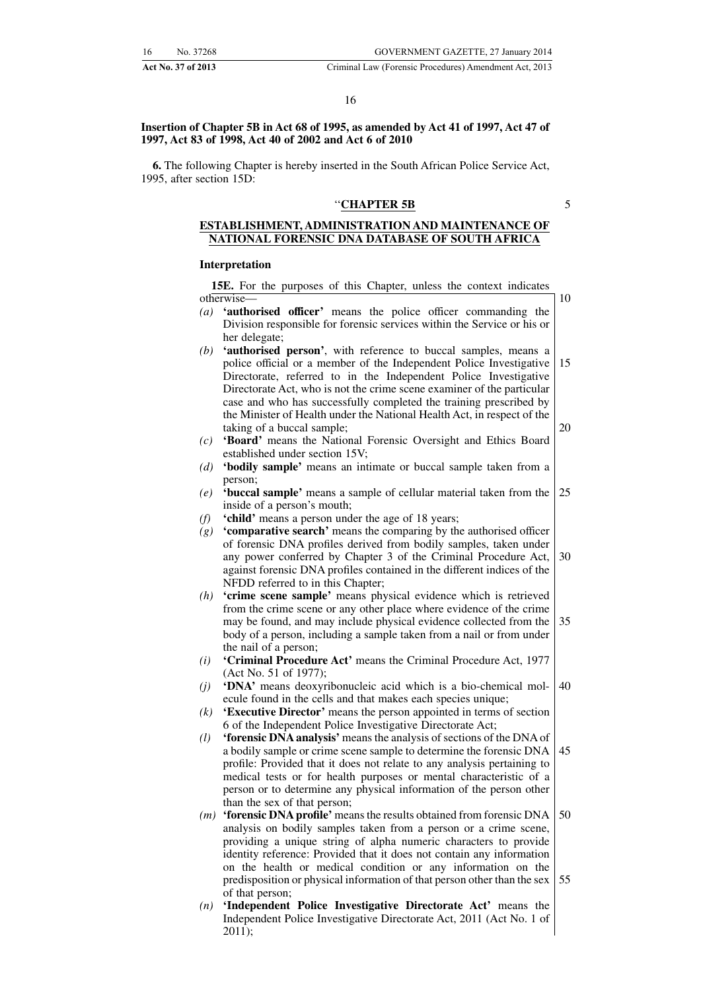**Insertion of Chapter 5B in Act 68 of 1995, as amended by Act 41 of 1997, Act 47 of 1997, Act 83 of 1998, Act 40 of 2002 and Act 6 of 2010**

**6.** The following Chapter is hereby inserted in the South African Police Service Act, 1995, after section 15D:

#### ''**CHAPTER 5B**

5

10

#### **ESTABLISHMENT, ADMINISTRATION AND MAINTENANCE OF NATIONAL FORENSIC DNA DATABASE OF SOUTH AFRICA**

#### **Interpretation**

**15E.** For the purposes of this Chapter, unless the context indicates otherwise—

- *(a)* **'authorised officer'** means the police officer commanding the Division responsible for forensic services within the Service or his or her delegate;
- *(b)* **'authorised person'**, with reference to buccal samples, means a police official or a member of the Independent Police Investigative Directorate, referred to in the Independent Police Investigative Directorate Act, who is not the crime scene examiner of the particular case and who has successfully completed the training prescribed by the Minister of Health under the National Health Act, in respect of the taking of a buccal sample; 15 20
- *(c)* **'Board'** means the National Forensic Oversight and Ethics Board established under section 15V;
- *(d)* **'bodily sample'** means an intimate or buccal sample taken from a person;
- *(e)* **'buccal sample'** means a sample of cellular material taken from the inside of a person's mouth; 25
- *(f)* **'child'** means a person under the age of 18 years;
- *(g)* **'comparative search'** means the comparing by the authorised officer of forensic DNA profiles derived from bodily samples, taken under any power conferred by Chapter 3 of the Criminal Procedure Act, against forensic DNA profiles contained in the different indices of the NFDD referred to in this Chapter; 30
- *(h)* **'crime scene sample'** means physical evidence which is retrieved from the crime scene or any other place where evidence of the crime may be found, and may include physical evidence collected from the body of a person, including a sample taken from a nail or from under the nail of a person; 35
- *(i)* **'Criminal Procedure Act'** means the Criminal Procedure Act, 1977 (Act No. 51 of 1977);
- *(j)* **'DNA'** means deoxyribonucleic acid which is a bio-chemical molecule found in the cells and that makes each species unique; 40
- *(k)* **'Executive Director'** means the person appointed in terms of section 6 of the Independent Police Investigative Directorate Act;
- *(l)* **'forensic DNA analysis'** means the analysis of sections of the DNA of a bodily sample or crime scene sample to determine the forensic DNA profile: Provided that it does not relate to any analysis pertaining to medical tests or for health purposes or mental characteristic of a person or to determine any physical information of the person other than the sex of that person; 45
- *(m)* **'forensic DNA profile'** means the results obtained from forensic DNA analysis on bodily samples taken from a person or a crime scene, providing a unique string of alpha numeric characters to provide identity reference: Provided that it does not contain any information on the health or medical condition or any information on the predisposition or physical information of that person other than the sex of that person; 50 55
- *(n)* **'Independent Police Investigative Directorate Act'** means the Independent Police Investigative Directorate Act, 2011 (Act No. 1 of 2011);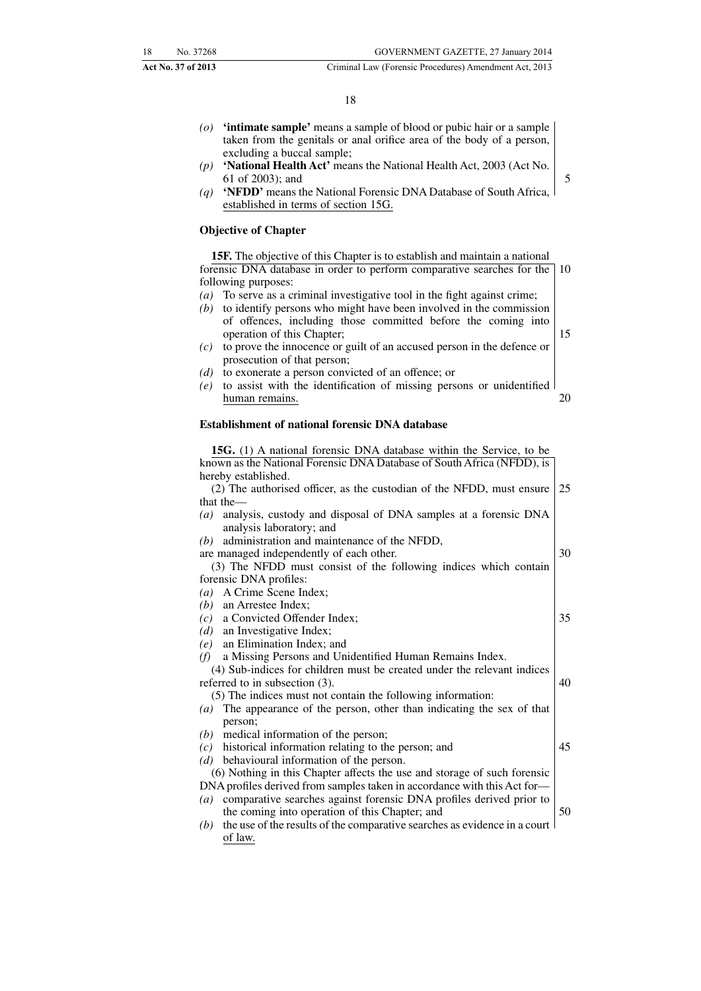15

- *(o)* **'intimate sample'** means a sample of blood or pubic hair or a sample taken from the genitals or anal orifice area of the body of a person, excluding a buccal sample;
- *(p)* **'National Health Act'** means the National Health Act, 2003 (Act No. 61 of 2003); and
- *(q)* **'NFDD'** means the National Forensic DNA Database of South Africa, established in terms of section 15G.

#### **Objective of Chapter**

**15F.** The objective of this Chapter is to establish and maintain a national forensic DNA database in order to perform comparative searches for the following purposes: 10

- *(a)* To serve as a criminal investigative tool in the fight against crime;
- *(b)* to identify persons who might have been involved in the commission of offences, including those committed before the coming into operation of this Chapter;
- *(c)* to prove the innocence or guilt of an accused person in the defence or prosecution of that person;
- *(d)* to exonerate a person convicted of an offence; or
- *(e)* to assist with the identification of missing persons or unidentified human remains. 20

#### **Establishment of national forensic DNA database**

| <b>15G.</b> (1) A national forensic DNA database within the Service, to be              |    |
|-----------------------------------------------------------------------------------------|----|
| known as the National Forensic DNA Database of South Africa (NFDD), is                  |    |
| hereby established.                                                                     |    |
| (2) The authorised officer, as the custodian of the NFDD, must ensure                   | 25 |
| that the-                                                                               |    |
| (a) analysis, custody and disposal of DNA samples at a forensic DNA                     |    |
| analysis laboratory; and                                                                |    |
| administration and maintenance of the NFDD,<br>(b)                                      |    |
| are managed independently of each other.                                                | 30 |
| (3) The NFDD must consist of the following indices which contain                        |    |
| forensic DNA profiles:                                                                  |    |
| A Crime Scene Index;<br>$\left(a\right)$                                                |    |
| $(b)$ an Arrestee Index;                                                                |    |
| a Convicted Offender Index;<br>(c)                                                      | 35 |
| $(d)$ an Investigative Index;                                                           |    |
| $(e)$ an Elimination Index; and                                                         |    |
| a Missing Persons and Unidentified Human Remains Index.<br>(f)                          |    |
| (4) Sub-indices for children must be created under the relevant indices                 |    |
| referred to in subsection (3).                                                          | 40 |
| (5) The indices must not contain the following information:                             |    |
| (a) The appearance of the person, other than indicating the sex of that                 |    |
| person;                                                                                 |    |
| medical information of the person;<br>(b)                                               |    |
| historical information relating to the person; and<br>(c)                               | 45 |
| behavioural information of the person.<br>(d)                                           |    |
| (6) Nothing in this Chapter affects the use and storage of such forensic                |    |
| DNA profiles derived from samples taken in accordance with this Act for-                |    |
| comparative searches against forensic DNA profiles derived prior to<br>$\left(a\right)$ |    |
| the coming into operation of this Chapter; and                                          | 50 |
| the use of the results of the comparative searches as evidence in a court  <br>(b)      |    |
| of law.                                                                                 |    |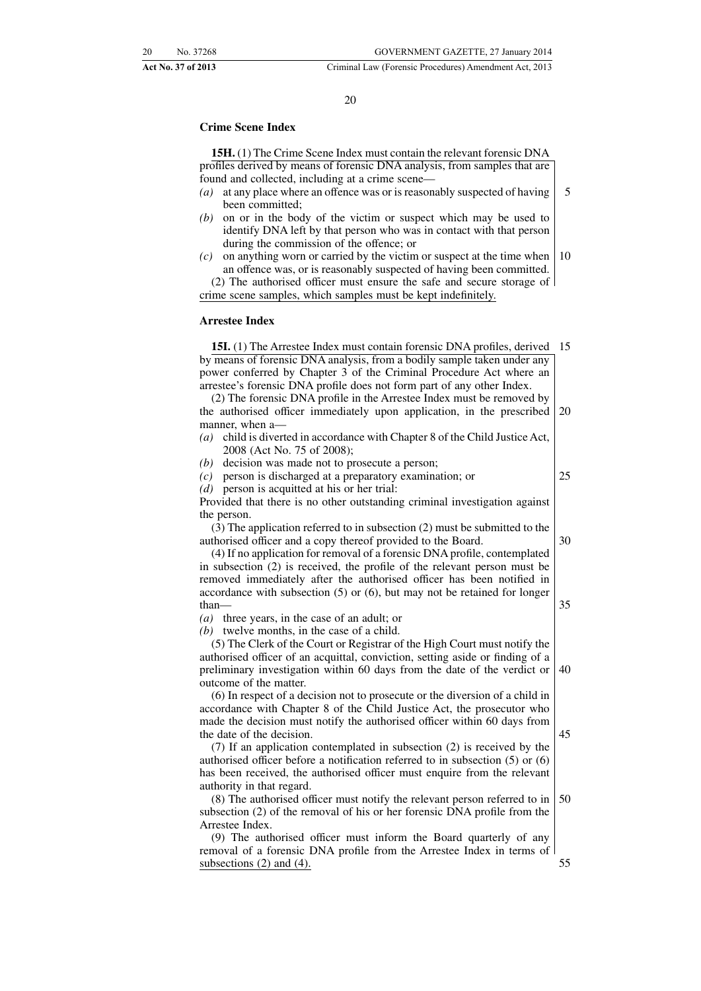#### 20

#### **Crime Scene Index**

**15H.** (1) The Crime Scene Index must contain the relevant forensic DNA profiles derived by means of forensic DNA analysis, from samples that are found and collected, including at a crime scene—

- *(a)* at any place where an offence was or is reasonably suspected of having been committed; 5
- *(b)* on or in the body of the victim or suspect which may be used to identify DNA left by that person who was in contact with that person during the commission of the offence; or
- *(c)* on anything worn or carried by the victim or suspect at the time when an offence was, or is reasonably suspected of having been committed. 10

(2) The authorised officer must ensure the safe and secure storage of crime scene samples, which samples must be kept indefinitely.

#### **Arrestee Index**

**15I.** (1) The Arrestee Index must contain forensic DNA profiles, derived 15 by means of forensic DNA analysis, from a bodily sample taken under any power conferred by Chapter 3 of the Criminal Procedure Act where an arrestee's forensic DNA profile does not form part of any other Index.

(2) The forensic DNA profile in the Arrestee Index must be removed by the authorised officer immediately upon application, in the prescribed manner, when a— 20

*(a)* child is diverted in accordance with Chapter 8 of the Child Justice Act, 2008 (Act No. 75 of 2008);

*(b)* decision was made not to prosecute a person;

*(c)* person is discharged at a preparatory examination; or

*(d)* person is acquitted at his or her trial:

Provided that there is no other outstanding criminal investigation against the person.

(3) The application referred to in subsection (2) must be submitted to the authorised officer and a copy thereof provided to the Board.

(4) If no application for removal of a forensic DNA profile, contemplated in subsection (2) is received, the profile of the relevant person must be removed immediately after the authorised officer has been notified in accordance with subsection (5) or (6), but may not be retained for longer than—

*(a)* three years, in the case of an adult; or

*(b)* twelve months, in the case of a child.

(5) The Clerk of the Court or Registrar of the High Court must notify the authorised officer of an acquittal, conviction, setting aside or finding of a preliminary investigation within 60 days from the date of the verdict or outcome of the matter. 40

(6) In respect of a decision not to prosecute or the diversion of a child in accordance with Chapter 8 of the Child Justice Act, the prosecutor who made the decision must notify the authorised officer within 60 days from the date of the decision.

(7) If an application contemplated in subsection (2) is received by the authorised officer before a notification referred to in subsection (5) or (6) has been received, the authorised officer must enquire from the relevant authority in that regard.

(8) The authorised officer must notify the relevant person referred to in subsection (2) of the removal of his or her forensic DNA profile from the Arrestee Index. 50

(9) The authorised officer must inform the Board quarterly of any removal of a forensic DNA profile from the Arrestee Index in terms of subsections (2) and (4). 55

30

25

- 
- 45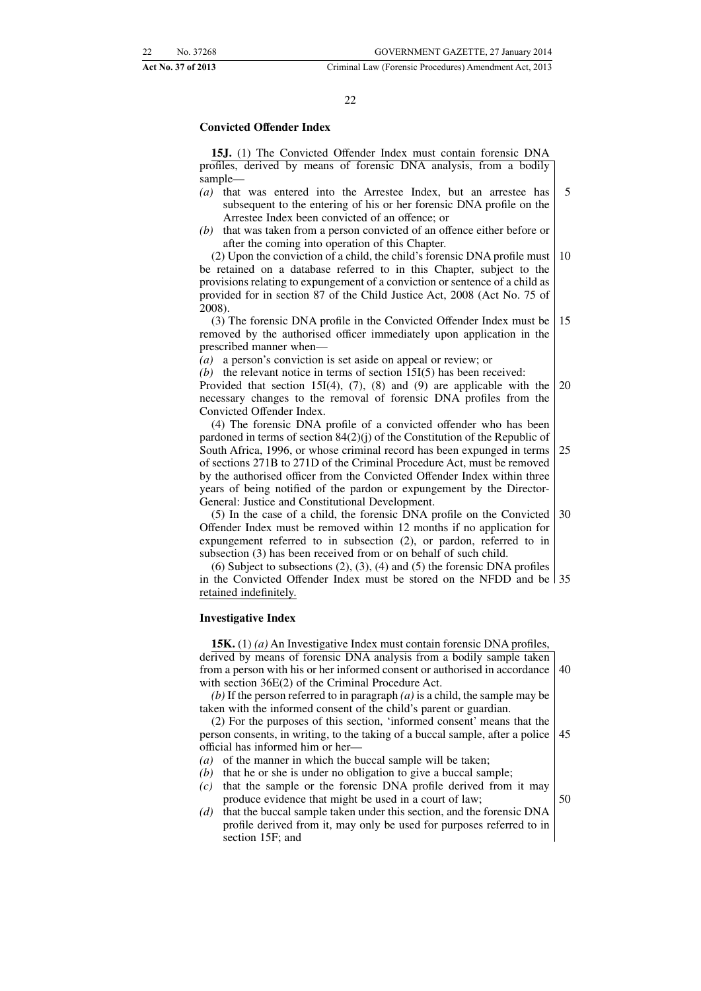#### 22

#### **Convicted Offender Index**

**15J.** (1) The Convicted Offender Index must contain forensic DNA profiles, derived by means of forensic DNA analysis, from a bodily sample—

- *(a)* that was entered into the Arrestee Index, but an arrestee has subsequent to the entering of his or her forensic DNA profile on the Arrestee Index been convicted of an offence; or 5
- *(b)* that was taken from a person convicted of an offence either before or after the coming into operation of this Chapter.

(2) Upon the conviction of a child, the child's forensic DNA profile must be retained on a database referred to in this Chapter, subject to the provisions relating to expungement of a conviction or sentence of a child as provided for in section 87 of the Child Justice Act, 2008 (Act No. 75 of 2008). 10

(3) The forensic DNA profile in the Convicted Offender Index must be removed by the authorised officer immediately upon application in the prescribed manner when— 15

*(a)* a person's conviction is set aside on appeal or review; or

*(b)* the relevant notice in terms of section 15I(5) has been received:

Provided that section 15I(4),  $(7)$ ,  $(8)$  and  $(9)$  are applicable with the necessary changes to the removal of forensic DNA profiles from the Convicted Offender Index. 20

(4) The forensic DNA profile of a convicted offender who has been pardoned in terms of section 84(2)(j) of the Constitution of the Republic of South Africa, 1996, or whose criminal record has been expunged in terms of sections 271B to 271D of the Criminal Procedure Act, must be removed by the authorised officer from the Convicted Offender Index within three years of being notified of the pardon or expungement by the Director-General: Justice and Constitutional Development. 25

(5) In the case of a child, the forensic DNA profile on the Convicted Offender Index must be removed within 12 months if no application for expungement referred to in subsection (2), or pardon, referred to in subsection (3) has been received from or on behalf of such child. 30

(6) Subject to subsections (2), (3), (4) and (5) the forensic DNA profiles in the Convicted Offender Index must be stored on the NFDD and be 35 retained indefinitely.

#### **Investigative Index**

**15K.** (1) *(a)* An Investigative Index must contain forensic DNA profiles, derived by means of forensic DNA analysis from a bodily sample taken from a person with his or her informed consent or authorised in accordance with section 36E(2) of the Criminal Procedure Act. 40

*(b)* If the person referred to in paragraph *(a)* is a child, the sample may be taken with the informed consent of the child's parent or guardian.

(2) For the purposes of this section, 'informed consent' means that the person consents, in writing, to the taking of a buccal sample, after a police official has informed him or her— 45

- *(a)* of the manner in which the buccal sample will be taken;
- *(b)* that he or she is under no obligation to give a buccal sample;
- *(c)* that the sample or the forensic DNA profile derived from it may produce evidence that might be used in a court of law;
- *(d)* that the buccal sample taken under this section, and the forensic DNA profile derived from it, may only be used for purposes referred to in section 15F; and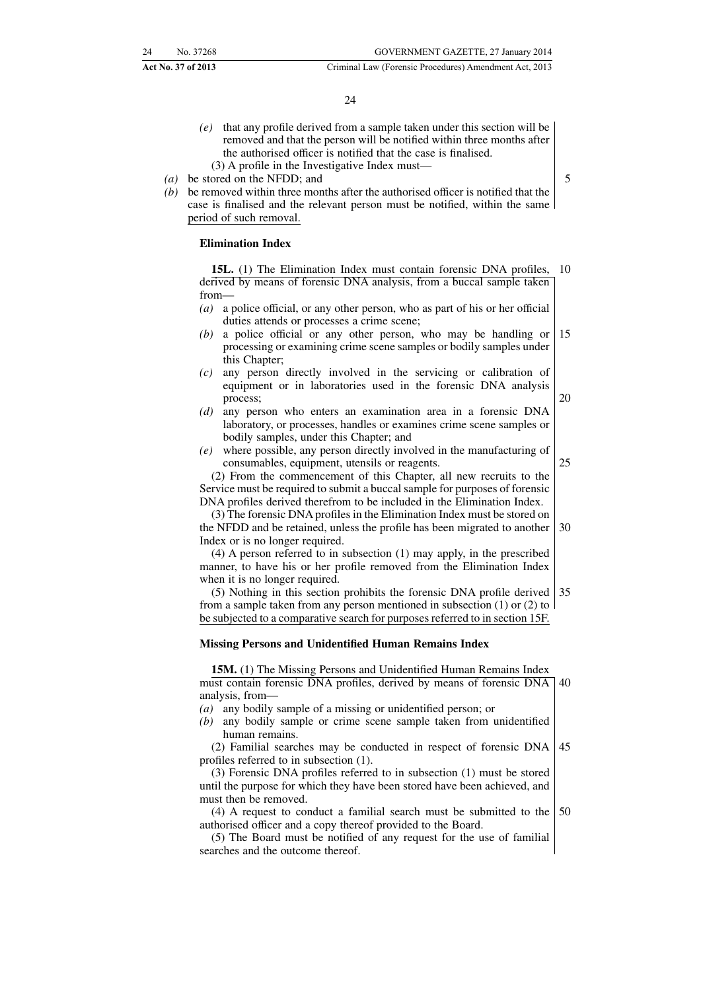- *(e)* that any profile derived from a sample taken under this section will be removed and that the person will be notified within three months after the authorised officer is notified that the case is finalised.
	- (3) A profile in the Investigative Index must—
- *(a)* be stored on the NFDD; and
- *(b)* be removed within three months after the authorised officer is notified that the case is finalised and the relevant person must be notified, within the same period of such removal.

#### **Elimination Index**

**15L.** (1) The Elimination Index must contain forensic DNA profiles, derived by means of forensic DNA analysis, from a buccal sample taken from— 10

- *(a)* a police official, or any other person, who as part of his or her official duties attends or processes a crime scene;
- *(b)* a police official or any other person, who may be handling or processing or examining crime scene samples or bodily samples under this Chapter; 15
- *(c)* any person directly involved in the servicing or calibration of equipment or in laboratories used in the forensic DNA analysis process;
- *(d)* any person who enters an examination area in a forensic DNA laboratory, or processes, handles or examines crime scene samples or bodily samples, under this Chapter; and
- *(e)* where possible, any person directly involved in the manufacturing of consumables, equipment, utensils or reagents.
- 25

20

5

(2) From the commencement of this Chapter, all new recruits to the Service must be required to submit a buccal sample for purposes of forensic DNA profiles derived therefrom to be included in the Elimination Index.

(3) The forensic DNA profiles in the Elimination Index must be stored on the NFDD and be retained, unless the profile has been migrated to another Index or is no longer required. 30

(4) A person referred to in subsection (1) may apply, in the prescribed manner, to have his or her profile removed from the Elimination Index when it is no longer required.

(5) Nothing in this section prohibits the forensic DNA profile derived from a sample taken from any person mentioned in subsection (1) or (2) to be subjected to a comparative search for purposes referred to in section 15F. 35

#### **Missing Persons and Unidentified Human Remains Index**

**15M.** (1) The Missing Persons and Unidentified Human Remains Index must contain forensic DNA profiles, derived by means of forensic DNA analysis, from— 40

- *(a)* any bodily sample of a missing or unidentified person; or
- *(b)* any bodily sample or crime scene sample taken from unidentified human remains.

(2) Familial searches may be conducted in respect of forensic DNA profiles referred to in subsection (1). 45

(3) Forensic DNA profiles referred to in subsection (1) must be stored until the purpose for which they have been stored have been achieved, and must then be removed.

(4) A request to conduct a familial search must be submitted to the authorised officer and a copy thereof provided to the Board. 50

(5) The Board must be notified of any request for the use of familial searches and the outcome thereof.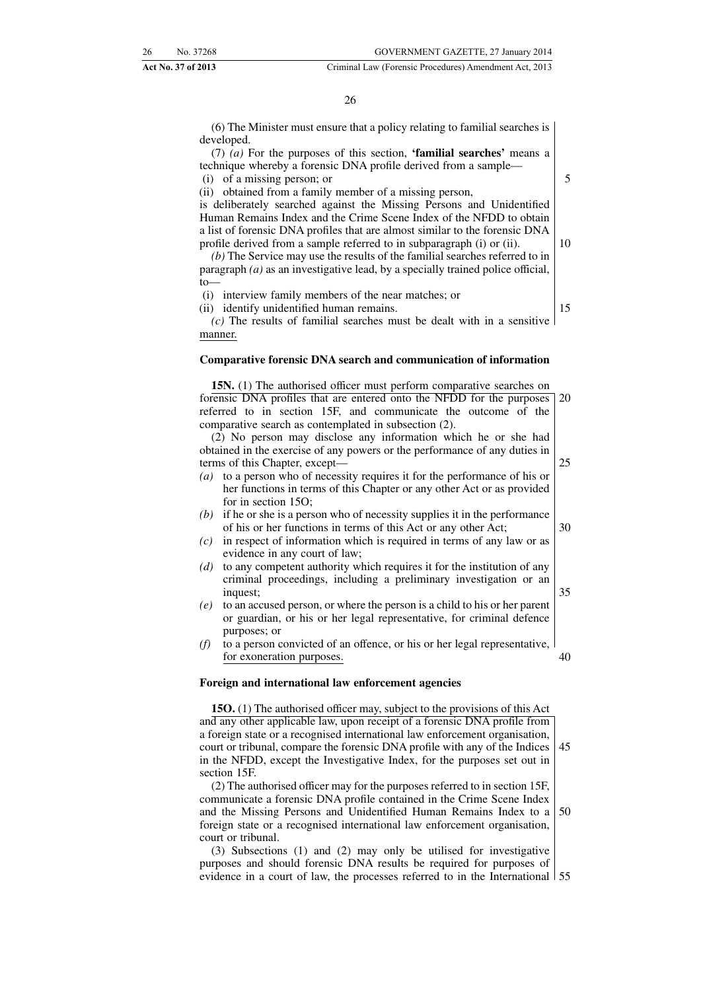26

(6) The Minister must ensure that a policy relating to familial searches is developed.

(7) *(a)* For the purposes of this section, **'familial searches'** means a technique whereby a forensic DNA profile derived from a sample— (i) of a missing person; or

(ii) obtained from a family member of a missing person,

is deliberately searched against the Missing Persons and Unidentified Human Remains Index and the Crime Scene Index of the NFDD to obtain a list of forensic DNA profiles that are almost similar to the forensic DNA profile derived from a sample referred to in subparagraph (i) or (ii).

*(b)* The Service may use the results of the familial searches referred to in paragraph *(a)* as an investigative lead, by a specially trained police official,  $t_0$ 

(i) interview family members of the near matches; or (ii) identify unidentified human remains.

15

10

5

*(c)* The results of familial searches must be dealt with in a sensitive manner.

#### **Comparative forensic DNA search and communication of information**

**15N.** (1) The authorised officer must perform comparative searches on forensic DNA profiles that are entered onto the NFDD for the purposes referred to in section 15F, and communicate the outcome of the comparative search as contemplated in subsection (2). (2) No person may disclose any information which he or she had 20

obtained in the exercise of any powers or the performance of any duties in terms of this Chapter, except—

- *(a)* to a person who of necessity requires it for the performance of his or her functions in terms of this Chapter or any other Act or as provided for in section 15O;
- *(b)* if he or she is a person who of necessity supplies it in the performance of his or her functions in terms of this Act or any other Act;
- *(c)* in respect of information which is required in terms of any law or as evidence in any court of law;
- *(d)* to any competent authority which requires it for the institution of any criminal proceedings, including a preliminary investigation or an inquest:
- *(e)* to an accused person, or where the person is a child to his or her parent or guardian, or his or her legal representative, for criminal defence purposes; or
- *(f)* to a person convicted of an offence, or his or her legal representative, for exoneration purposes. 40

#### **Foreign and international law enforcement agencies**

**15O.** (1) The authorised officer may, subject to the provisions of this Act and any other applicable law, upon receipt of a forensic DNA profile from a foreign state or a recognised international law enforcement organisation, court or tribunal, compare the forensic DNA profile with any of the Indices in the NFDD, except the Investigative Index, for the purposes set out in section 15F. 45

(2) The authorised officer may for the purposes referred to in section 15F, communicate a forensic DNA profile contained in the Crime Scene Index and the Missing Persons and Unidentified Human Remains Index to a foreign state or a recognised international law enforcement organisation, court or tribunal. 50

(3) Subsections (1) and (2) may only be utilised for investigative purposes and should forensic DNA results be required for purposes of evidence in a court of law, the processes referred to in the International 55

30

- 
- 35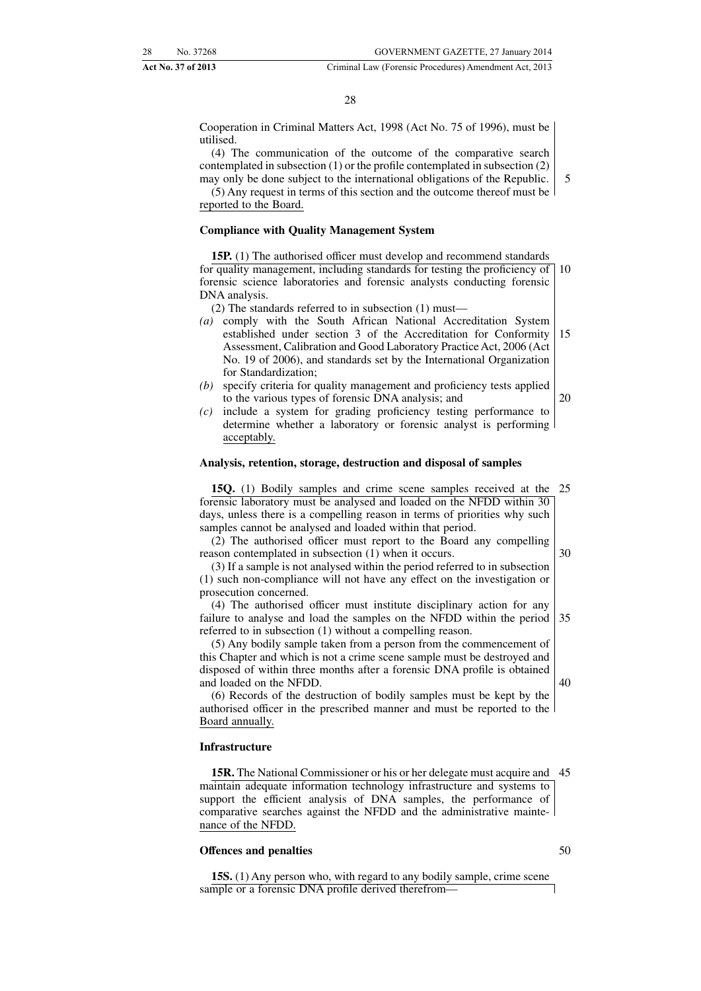20

#### **Act No. 37 of 2013** Criminal Law (Forensic Procedures) Amendment Act, 2013

 $28$ 

Cooperation in Criminal Matters Act, 1998 (Act No. 75 of 1996), must be utilised.

(4) The communication of the outcome of the comparative search contemplated in subsection (1) or the profile contemplated in subsection (2) may only be done subject to the international obligations of the Republic.

(5) Any request in terms of this section and the outcome thereof must be reported to the Board.

#### **Compliance with Quality Management System**

**15P.** (1) The authorised officer must develop and recommend standards for quality management, including standards for testing the proficiency of forensic science laboratories and forensic analysts conducting forensic DNA analysis. 10

(2) The standards referred to in subsection (1) must—

- *(a)* comply with the South African National Accreditation System established under section 3 of the Accreditation for Conformity Assessment, Calibration and Good Laboratory Practice Act, 2006 (Act No. 19 of 2006), and standards set by the International Organization for Standardization; 15
- *(b)* specify criteria for quality management and proficiency tests applied to the various types of forensic DNA analysis; and
- *(c)* include a system for grading proficiency testing performance to determine whether a laboratory or forensic analyst is performing acceptably.

#### **Analysis, retention, storage, destruction and disposal of samples**

**15Q.** (1) Bodily samples and crime scene samples received at the forensic laboratory must be analysed and loaded on the NFDD within 30 days, unless there is a compelling reason in terms of priorities why such samples cannot be analysed and loaded within that period. 25

(2) The authorised officer must report to the Board any compelling reason contemplated in subsection (1) when it occurs. 30

(3) If a sample is not analysed within the period referred to in subsection (1) such non-compliance will not have any effect on the investigation or prosecution concerned.

(4) The authorised officer must institute disciplinary action for any failure to analyse and load the samples on the NFDD within the period referred to in subsection (1) without a compelling reason. 35

(5) Any bodily sample taken from a person from the commencement of this Chapter and which is not a crime scene sample must be destroyed and disposed of within three months after a forensic DNA profile is obtained and loaded on the NFDD.

(6) Records of the destruction of bodily samples must be kept by the authorised officer in the prescribed manner and must be reported to the Board annually.

#### **Infrastructure**

**15R.** The National Commissioner or his or her delegate must acquire and 45 maintain adequate information technology infrastructure and systems to support the efficient analysis of DNA samples, the performance of comparative searches against the NFDD and the administrative maintenance of the NFDD.

#### **Offences and penalties**

**15S.** (1) Any person who, with regard to any bodily sample, crime scene sample or a forensic DNA profile derived therefrom-

50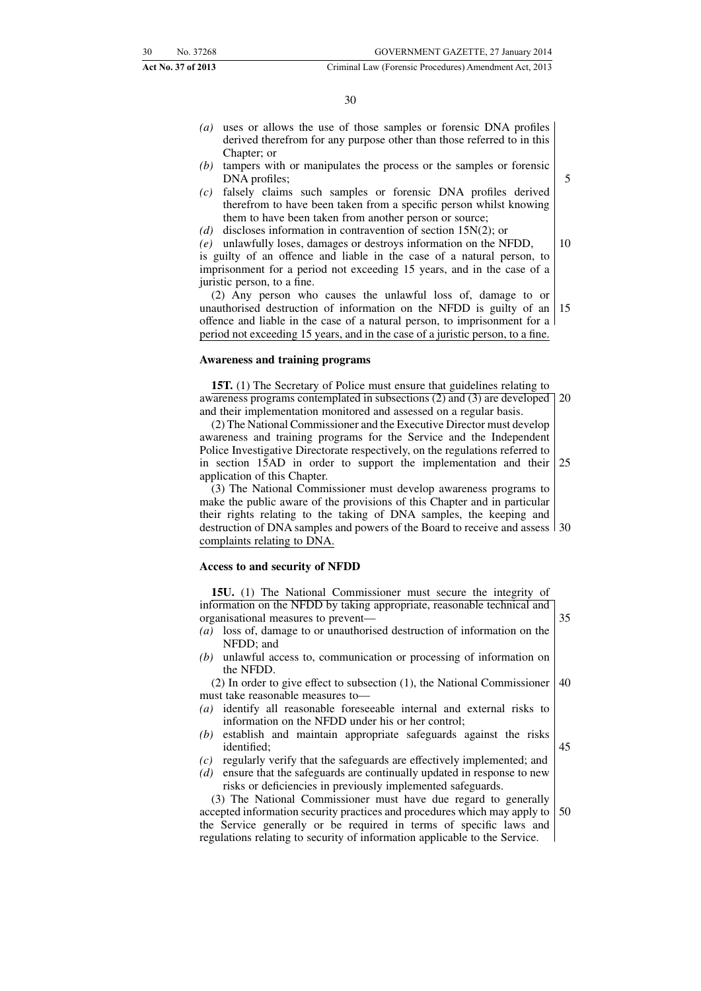#### 30

- *(a)* uses or allows the use of those samples or forensic DNA profiles derived therefrom for any purpose other than those referred to in this Chapter; or
- *(b)* tampers with or manipulates the process or the samples or forensic DNA profiles;
- *(c)* falsely claims such samples or forensic DNA profiles derived therefrom to have been taken from a specific person whilst knowing them to have been taken from another person or source;
- *(d)* discloses information in contravention of section 15N(2); or

*(e)* unlawfully loses, damages or destroys information on the NFDD, is guilty of an offence and liable in the case of a natural person, to imprisonment for a period not exceeding 15 years, and in the case of a juristic person, to a fine.

(2) Any person who causes the unlawful loss of, damage to or unauthorised destruction of information on the NFDD is guilty of an offence and liable in the case of a natural person, to imprisonment for a period not exceeding 15 years, and in the case of a juristic person, to a fine. 15

#### **Awareness and training programs**

**15T.** (1) The Secretary of Police must ensure that guidelines relating to awareness programs contemplated in subsections (2) and (3) are developed and their implementation monitored and assessed on a regular basis. 20

(2) The National Commissioner and the Executive Director must develop awareness and training programs for the Service and the Independent Police Investigative Directorate respectively, on the regulations referred to in section 15AD in order to support the implementation and their application of this Chapter. 25

(3) The National Commissioner must develop awareness programs to make the public aware of the provisions of this Chapter and in particular their rights relating to the taking of DNA samples, the keeping and destruction of DNA samples and powers of the Board to receive and assess 30 complaints relating to DNA.

#### **Access to and security of NFDD**

| information on the NFDD by taking appropriate, reasonable technical and       |    |
|-------------------------------------------------------------------------------|----|
| organisational measures to prevent—                                           | 35 |
| (a) loss of, damage to or unauthorised destruction of information on the      |    |
| NFDD; and                                                                     |    |
| $(b)$ unlawful access to, communication or processing of information on       |    |
| the NFDD.                                                                     |    |
| $(2)$ In order to give effect to subsection $(1)$ , the National Commissioner | 40 |
| must take reasonable measures to-                                             |    |
| (a) identify all reasonable foreseeable internal and external risks to        |    |
| information on the NFDD under his or her control;                             |    |
| (b) establish and maintain appropriate safeguards against the risks           |    |
| identified;                                                                   | 45 |
| regularly verify that the safeguards are effectively implemented; and<br>(c)  |    |
| ensure that the safeguards are continually updated in response to new<br>(d)  |    |
| risks or deficiencies in previously implemented safeguards.                   |    |
| (3) The National Commissioner must have due regard to generally               |    |
| accepted information security practices and procedures which may apply to     | 50 |
| the Service generally or be required in terms of specific laws and            |    |

regulations relating to security of information applicable to the Service.

5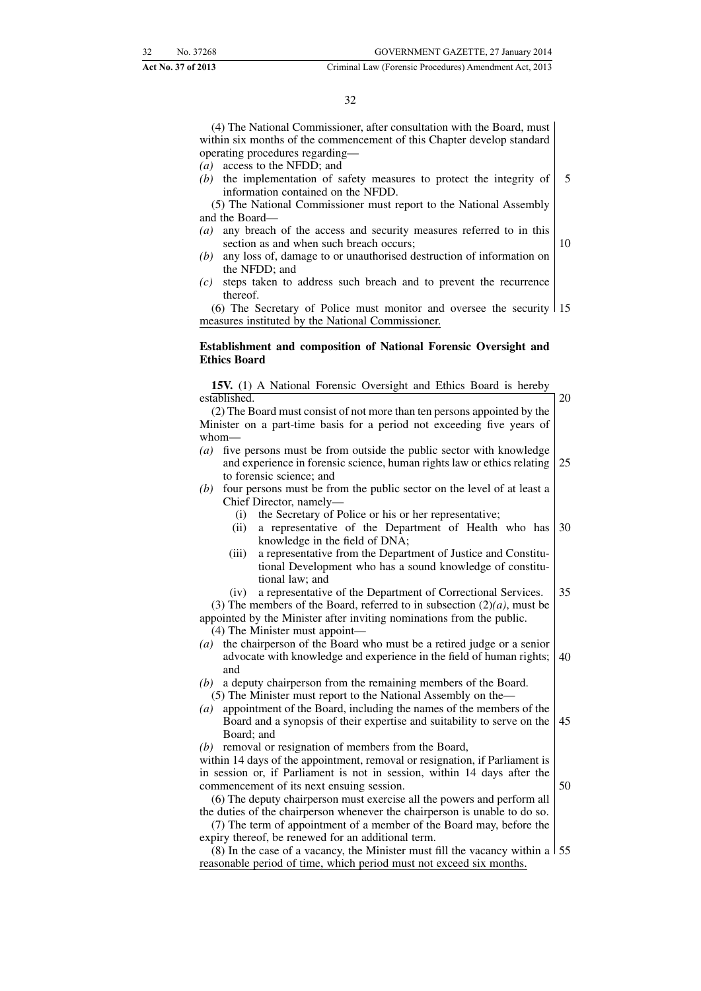#### 32

(4) The National Commissioner, after consultation with the Board, must within six months of the commencement of this Chapter develop standard operating procedures regarding—

- *(a)* access to the NFDD; and
- *(b)* the implementation of safety measures to protect the integrity of information contained on the NFDD. 5

(5) The National Commissioner must report to the National Assembly and the Board—

- *(a)* any breach of the access and security measures referred to in this section as and when such breach occurs; 10
- *(b)* any loss of, damage to or unauthorised destruction of information on the NFDD; and
- *(c)* steps taken to address such breach and to prevent the recurrence thereof.

(6) The Secretary of Police must monitor and oversee the security 15 measures instituted by the National Commissioner.

#### **Establishment and composition of National Forensic Oversight and Ethics Board**

**15V.** (1) A National Forensic Oversight and Ethics Board is hereby established. (2) The Board must consist of not more than ten persons appointed by the 20

Minister on a part-time basis for a period not exceeding five years of whom— *(a)* five persons must be from outside the public sector with knowledge

- and experience in forensic science, human rights law or ethics relating to forensic science; and 25
- *(b)* four persons must be from the public sector on the level of at least a Chief Director, namely—
	- (i) the Secretary of Police or his or her representative;
	- (ii) a representative of the Department of Health who has knowledge in the field of DNA; 30
	- (iii) a representative from the Department of Justice and Constitutional Development who has a sound knowledge of constitutional law; and
	- (iv) a representative of the Department of Correctional Services. 35

(3) The members of the Board, referred to in subsection  $(2)(a)$ , must be appointed by the Minister after inviting nominations from the public. (4) The Minister must appoint—

- *(a)* the chairperson of the Board who must be a retired judge or a senior advocate with knowledge and experience in the field of human rights; and 40
- *(b)* a deputy chairperson from the remaining members of the Board. (5) The Minister must report to the National Assembly on the—
- *(a)* appointment of the Board, including the names of the members of the Board and a synopsis of their expertise and suitability to serve on the Board; and 45
- *(b)* removal or resignation of members from the Board,

within 14 days of the appointment, removal or resignation, if Parliament is in session or, if Parliament is not in session, within 14 days after the commencement of its next ensuing session. 50

(6) The deputy chairperson must exercise all the powers and perform all the duties of the chairperson whenever the chairperson is unable to do so.

(7) The term of appointment of a member of the Board may, before the expiry thereof, be renewed for an additional term.

(8) In the case of a vacancy, the Minister must fill the vacancy within a 55reasonable period of time, which period must not exceed six months.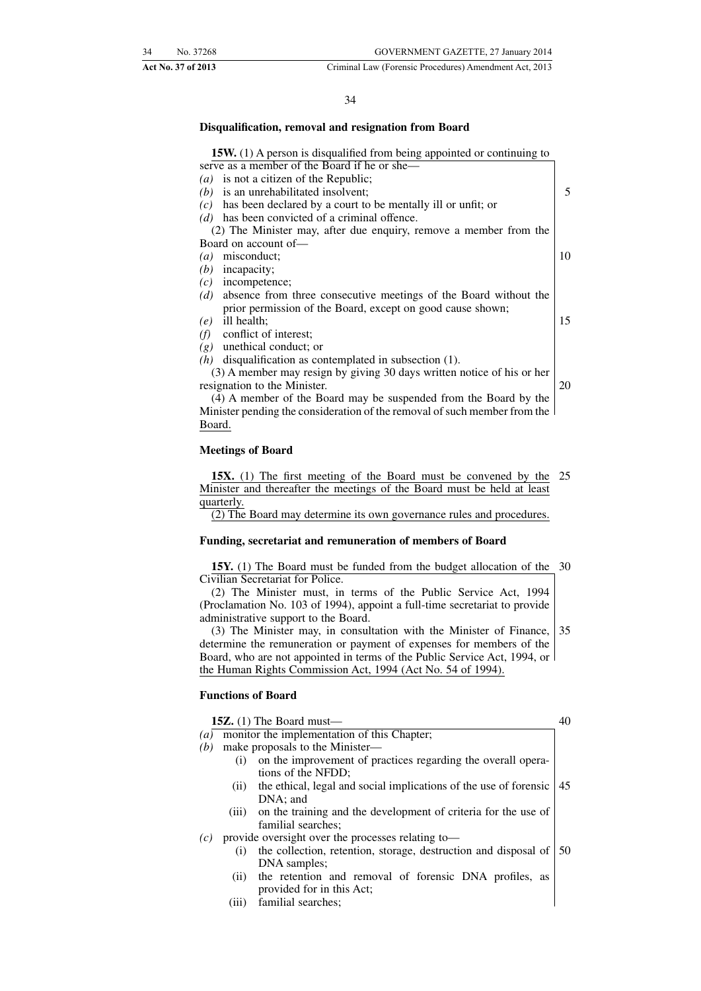#### 34

#### **Disqualification, removal and resignation from Board**

#### **15W.** (1) A person is disqualified from being appointed or continuing to

| serve as a member of the Board if he or she—                              |    |
|---------------------------------------------------------------------------|----|
| ( <i>a</i> ) is not a citizen of the Republic;                            |    |
| is an unrehabilitated insolvent;<br>(b)                                   | 5  |
| has been declared by a court to be mentally ill or unfit; or<br>(c)       |    |
| has been convicted of a criminal offence.<br>(d)                          |    |
| (2) The Minister may, after due enquiry, remove a member from the         |    |
| Board on account of—                                                      |    |
| misconduct:<br>$\left(a\right)$                                           | 10 |
| incapacity;<br>(b)                                                        |    |
| incompetence;<br>(c)                                                      |    |
| absence from three consecutive meetings of the Board without the<br>(d)   |    |
| prior permission of the Board, except on good cause shown;                |    |
| ill health;<br>(e)                                                        | 15 |
| conflict of interest:<br>(f)                                              |    |
| unethical conduct; or<br>(g)                                              |    |
| $(h)$ disqualification as contemplated in subsection (1).                 |    |
| (3) A member may resign by giving 30 days written notice of his or her    |    |
| resignation to the Minister.                                              | 20 |
| (4) A member of the Board may be suspended from the Board by the          |    |
| Minister pending the consideration of the removal of such member from the |    |
| Board.                                                                    |    |

#### **Meetings of Board**

15X. (1) The first meeting of the Board must be convened by the 25 Minister and thereafter the meetings of the Board must be held at least quarterly.

(2) The Board may determine its own governance rules and procedures.

#### **Funding, secretariat and remuneration of members of Board**

**15Y.** (1) The Board must be funded from the budget allocation of the 30 Civilian Secretariat for Police.

(2) The Minister must, in terms of the Public Service Act, 1994 (Proclamation No. 103 of 1994), appoint a full-time secretariat to provide administrative support to the Board.

(3) The Minister may, in consultation with the Minister of Finance, determine the remuneration or payment of expenses for members of the Board, who are not appointed in terms of the Public Service Act, 1994, or the Human Rights Commission Act, 1994 (Act No. 54 of 1994). 35

#### **Functions of Board**

**15Z.** (1) The Board must— *(a)* monitor the implementation of this Chapter; *(b)* make proposals to the Minister— (i) on the improvement of practices regarding the overall operations of the NFDD; (ii) the ethical, legal and social implications of the use of forensic DNA; and (iii) on the training and the development of criteria for the use of familial searches; *(c)* provide oversight over the processes relating to— (i) the collection, retention, storage, destruction and disposal of DNA samples; (ii) the retention and removal of forensic DNA profiles, as provided for in this Act; (iii) familial searches; 40 45 50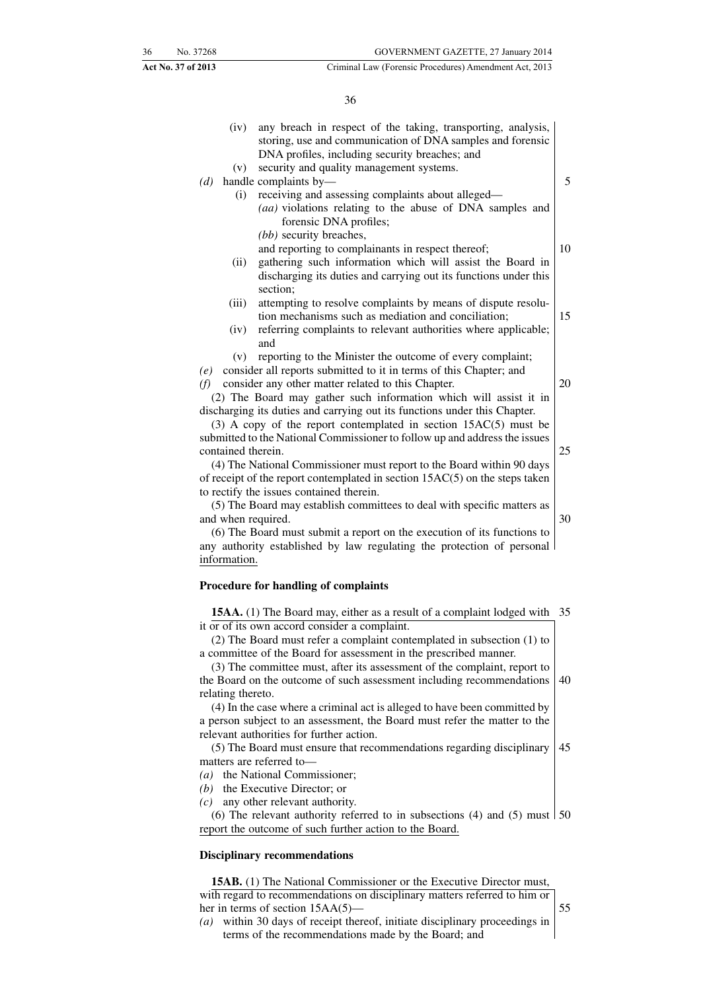36

|     | (iv)               | any breach in respect of the taking, transporting, analysis,<br>storing, use and communication of DNA samples and forensic<br>DNA profiles, including security breaches; and |    |
|-----|--------------------|------------------------------------------------------------------------------------------------------------------------------------------------------------------------------|----|
|     | (v)                | security and quality management systems.                                                                                                                                     |    |
| (d) |                    | handle complaints by-                                                                                                                                                        | 5  |
|     | (i)                | receiving and assessing complaints about alleged-<br>(aa) violations relating to the abuse of DNA samples and<br>forensic DNA profiles;                                      |    |
|     |                    | (bb) security breaches,                                                                                                                                                      |    |
|     |                    | and reporting to complainants in respect thereof;                                                                                                                            | 10 |
|     | (ii)               | gathering such information which will assist the Board in<br>discharging its duties and carrying out its functions under this<br>section;                                    |    |
|     | (iii)              | attempting to resolve complaints by means of dispute resolu-                                                                                                                 |    |
|     |                    | tion mechanisms such as mediation and conciliation;                                                                                                                          | 15 |
|     | (iv)               | referring complaints to relevant authorities where applicable;                                                                                                               |    |
|     |                    | and                                                                                                                                                                          |    |
|     | (v)                | reporting to the Minister the outcome of every complaint;                                                                                                                    |    |
| (e) |                    | consider all reports submitted to it in terms of this Chapter; and                                                                                                           |    |
| (f) |                    | consider any other matter related to this Chapter.                                                                                                                           | 20 |
|     |                    | (2) The Board may gather such information which will assist it in                                                                                                            |    |
|     |                    | discharging its duties and carrying out its functions under this Chapter.                                                                                                    |    |
|     |                    | $(3)$ A copy of the report contemplated in section 15AC $(5)$ must be                                                                                                        |    |
|     |                    | submitted to the National Commissioner to follow up and address the issues                                                                                                   |    |
|     | contained therein. |                                                                                                                                                                              | 25 |
|     |                    | (4) The National Commissioner must report to the Board within 90 days                                                                                                        |    |
|     |                    | of receipt of the report contemplated in section 15AC(5) on the steps taken                                                                                                  |    |
|     |                    | to rectify the issues contained therein.                                                                                                                                     |    |
|     |                    | (5) The Board may establish committees to deal with specific matters as                                                                                                      |    |
|     | and when required. |                                                                                                                                                                              | 30 |
|     |                    | (6) The Board must submit a report on the execution of its functions to                                                                                                      |    |
|     | information.       | any authority established by law regulating the protection of personal                                                                                                       |    |
|     |                    |                                                                                                                                                                              |    |
|     |                    | <b>Procedure for handling of complaints</b>                                                                                                                                  |    |
|     |                    | 15AA. (1) The Board may, either as a result of a complaint lodged with                                                                                                       | 35 |
|     |                    | it or of its own accord consider a complaint.                                                                                                                                |    |
|     |                    | (2) The Board must refer a complaint contemplated in subsection (1) to<br>$\sim$ $\sim$ $\sim$ $\sim$ $\sim$ $\sim$                                                          |    |
|     |                    |                                                                                                                                                                              |    |

a committee of the Board for assessment in the prescribed manner.

(3) The committee must, after its assessment of the complaint, report to the Board on the outcome of such assessment including recommendations relating thereto. 40

(4) In the case where a criminal act is alleged to have been committed by a person subject to an assessment, the Board must refer the matter to the relevant authorities for further action.

(5) The Board must ensure that recommendations regarding disciplinary matters are referred to— 45

*(a)* the National Commissioner;

*(b)* the Executive Director; or

*(c)* any other relevant authority.

(6) The relevant authority referred to in subsections (4) and (5) must  $\frac{150}{}$ report the outcome of such further action to the Board.

#### **Disciplinary recommendations**

**15AB.** (1) The National Commissioner or the Executive Director must, with regard to recommendations on disciplinary matters referred to him or her in terms of section 15AA(5)— *(a)* within 30 days of receipt thereof, initiate disciplinary proceedings in

terms of the recommendations made by the Board; and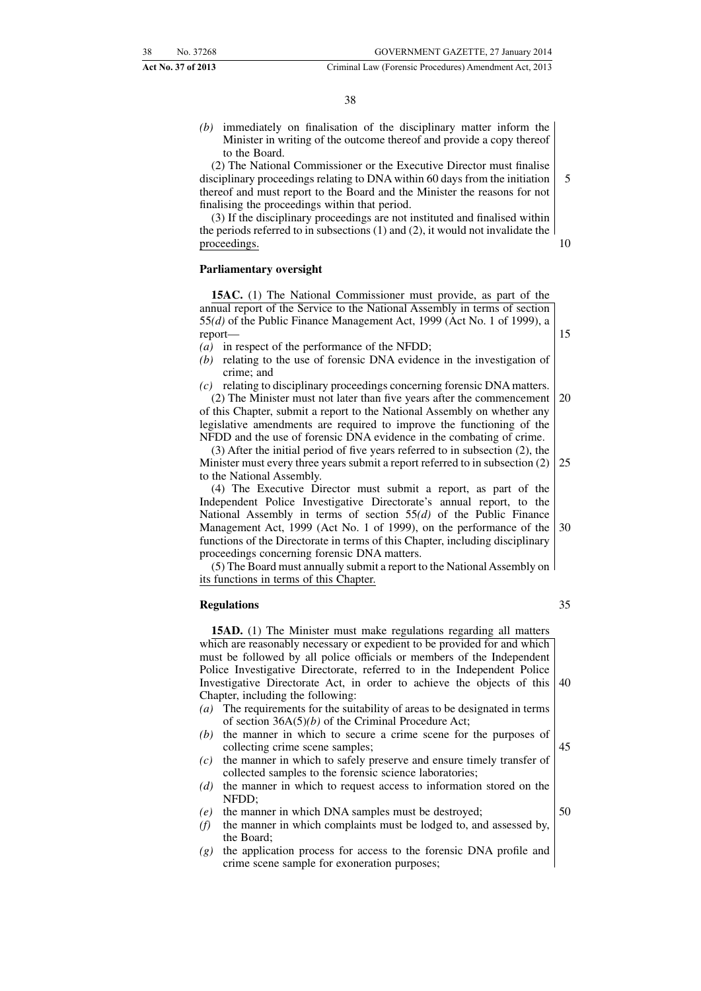*(b)* immediately on finalisation of the disciplinary matter inform the Minister in writing of the outcome thereof and provide a copy thereof to the Board.

(2) The National Commissioner or the Executive Director must finalise disciplinary proceedings relating to DNA within 60 days from the initiation thereof and must report to the Board and the Minister the reasons for not finalising the proceedings within that period. 5

(3) If the disciplinary proceedings are not instituted and finalised within the periods referred to in subsections (1) and (2), it would not invalidate the proceedings. 10

#### **Parliamentary oversight**

**15AC.** (1) The National Commissioner must provide, as part of the annual report of the Service to the National Assembly in terms of section 55*(d)* of the Public Finance Management Act, 1999 (Act No. 1 of 1999), a report—

- *(a)* in respect of the performance of the NFDD;
- *(b)* relating to the use of forensic DNA evidence in the investigation of crime; and
- *(c)* relating to disciplinary proceedings concerning forensic DNA matters. (2) The Minister must not later than five years after the commencement

of this Chapter, submit a report to the National Assembly on whether any legislative amendments are required to improve the functioning of the NFDD and the use of forensic DNA evidence in the combating of crime. 20

(3) After the initial period of five years referred to in subsection (2), the Minister must every three years submit a report referred to in subsection (2) to the National Assembly. 25

(4) The Executive Director must submit a report, as part of the Independent Police Investigative Directorate's annual report, to the National Assembly in terms of section 55*(d)* of the Public Finance Management Act, 1999 (Act No. 1 of 1999), on the performance of the functions of the Directorate in terms of this Chapter, including disciplinary proceedings concerning forensic DNA matters. 30

(5) The Board must annually submit a report to the National Assembly on its functions in terms of this Chapter.

#### **Regulations**

**15AD.** (1) The Minister must make regulations regarding all matters which are reasonably necessary or expedient to be provided for and which must be followed by all police officials or members of the Independent Police Investigative Directorate, referred to in the Independent Police Investigative Directorate Act, in order to achieve the objects of this Chapter, including the following: 40

- *(a)* The requirements for the suitability of areas to be designated in terms of section 36A(5)*(b)* of the Criminal Procedure Act;
- *(b)* the manner in which to secure a crime scene for the purposes of collecting crime scene samples;
- *(c)* the manner in which to safely preserve and ensure timely transfer of collected samples to the forensic science laboratories;
- *(d)* the manner in which to request access to information stored on the NFDD;
- *(e)* the manner in which DNA samples must be destroyed;
- *(f)* the manner in which complaints must be lodged to, and assessed by, the Board;
- *(g)* the application process for access to the forensic DNA profile and crime scene sample for exoneration purposes;

35

45

50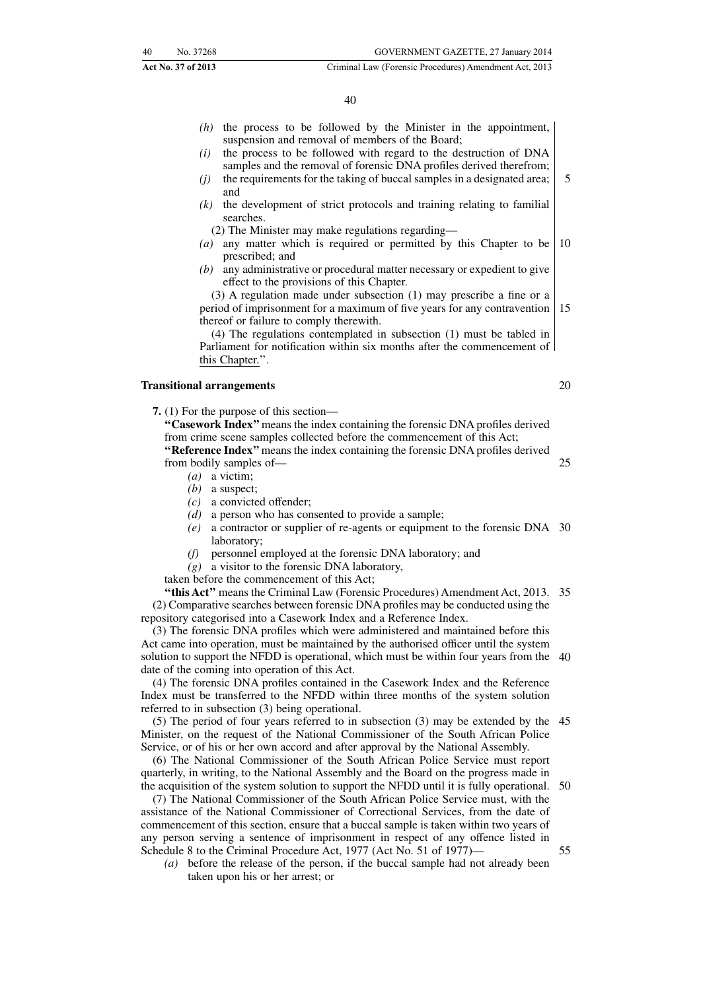#### 40

- *(h)* the process to be followed by the Minister in the appointment, suspension and removal of members of the Board;
- *(i)* the process to be followed with regard to the destruction of DNA samples and the removal of forensic DNA profiles derived therefrom;
- *(j)* the requirements for the taking of buccal samples in a designated area; and 5
- *(k)* the development of strict protocols and training relating to familial searches.
	- (2) The Minister may make regulations regarding—
- *(a)* any matter which is required or permitted by this Chapter to be prescribed; and 10
- *(b)* any administrative or procedural matter necessary or expedient to give effect to the provisions of this Chapter.

(3) A regulation made under subsection (1) may prescribe a fine or a period of imprisonment for a maximum of five years for any contravention thereof or failure to comply therewith. 15

(4) The regulations contemplated in subsection (1) must be tabled in Parliament for notification within six months after the commencement of this Chapter.''.

#### **Transitional arrangements**

**7.** (1) For the purpose of this section—

**''Casework Index''**means the index containing the forensic DNA profiles derived from crime scene samples collected before the commencement of this Act; **''Reference Index''**means the index containing the forensic DNA profiles derived

from bodily samples of—

- *(a)* a victim;
- *(b)* a suspect;
- *(c)* a convicted offender;
- *(d)* a person who has consented to provide a sample;
- *(e)* a contractor or supplier of re-agents or equipment to the forensic DNA 30 laboratory;
- *(f)* personnel employed at the forensic DNA laboratory; and
- *(g)* a visitor to the forensic DNA laboratory,

taken before the commencement of this Act;

"this Act" means the Criminal Law (Forensic Procedures) Amendment Act, 2013. 35 (2) Comparative searches between forensic DNA profiles may be conducted using the repository categorised into a Casework Index and a Reference Index.

(3) The forensic DNA profiles which were administered and maintained before this Act came into operation, must be maintained by the authorised officer until the system solution to support the NFDD is operational, which must be within four years from the 40 date of the coming into operation of this Act.

(4) The forensic DNA profiles contained in the Casework Index and the Reference Index must be transferred to the NFDD within three months of the system solution referred to in subsection (3) being operational.

(5) The period of four years referred to in subsection (3) may be extended by the 45 Minister, on the request of the National Commissioner of the South African Police Service, or of his or her own accord and after approval by the National Assembly.

(6) The National Commissioner of the South African Police Service must report quarterly, in writing, to the National Assembly and the Board on the progress made in the acquisition of the system solution to support the NFDD until it is fully operational.

(7) The National Commissioner of the South African Police Service must, with the assistance of the National Commissioner of Correctional Services, from the date of commencement of this section, ensure that a buccal sample is taken within two years of any person serving a sentence of imprisonment in respect of any offence listed in Schedule 8 to the Criminal Procedure Act, 1977 (Act No. 51 of 1977)— 55

*(a)* before the release of the person, if the buccal sample had not already been taken upon his or her arrest; or

20

25